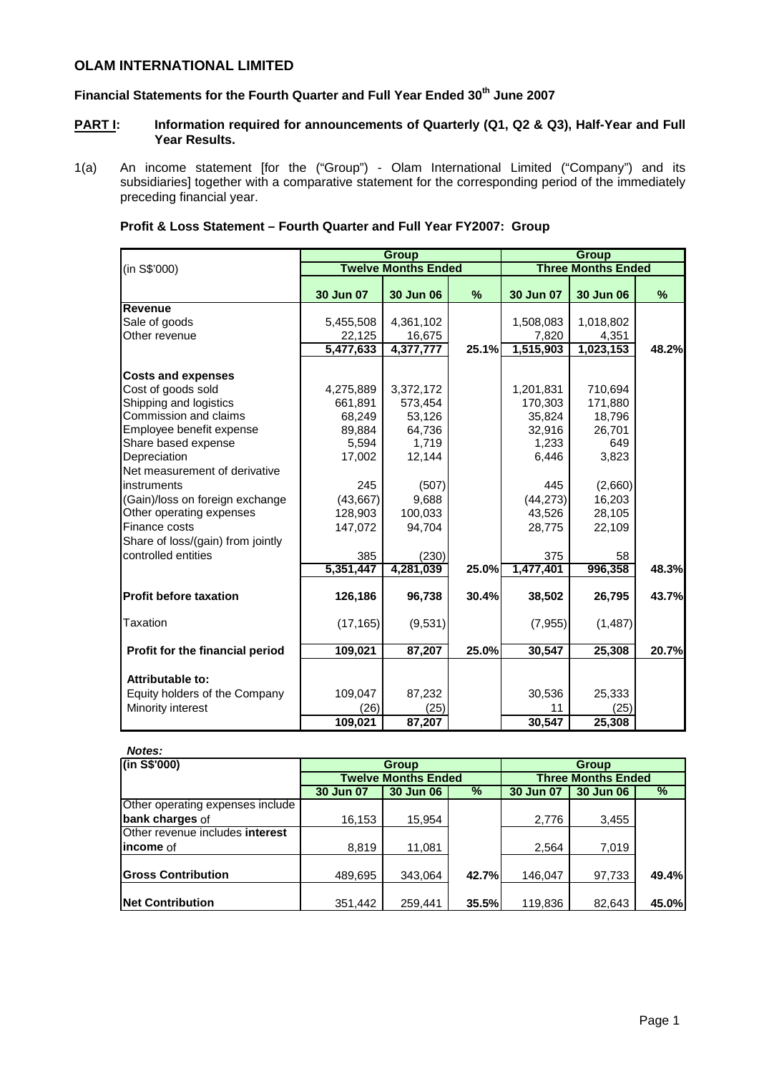# **OLAM INTERNATIONAL LIMITED**

# **Financial Statements for the Fourth Quarter and Full Year Ended 30th June 2007**

- **PART I:** Information required for announcements of Quarterly (Q1, Q2 & Q3), Half-Year and Full **Year Results.**
- 1(a) An income statement [for the ("Group") Olam International Limited ("Company") and its subsidiaries] together with a comparative statement for the corresponding period of the immediately preceding financial year.

|  |  | Profit & Loss Statement - Fourth Quarter and Full Year FY2007: Group |  |  |  |  |  |  |
|--|--|----------------------------------------------------------------------|--|--|--|--|--|--|
|--|--|----------------------------------------------------------------------|--|--|--|--|--|--|

|                                   |           | <b>Group</b>               |       | <b>Group</b> |                           |       |  |
|-----------------------------------|-----------|----------------------------|-------|--------------|---------------------------|-------|--|
| (in S\$'000)                      |           | <b>Twelve Months Ended</b> |       |              | <b>Three Months Ended</b> |       |  |
|                                   | 30 Jun 07 | 30 Jun 06                  | %     | 30 Jun 07    | 30 Jun 06                 | %     |  |
| Revenue                           |           |                            |       |              |                           |       |  |
| Sale of goods                     | 5,455,508 | 4,361,102                  |       | 1,508,083    | 1,018,802                 |       |  |
| Other revenue                     | 22,125    | 16,675                     |       | 7,820        | 4,351                     |       |  |
|                                   | 5,477,633 | 4,377,777                  | 25.1% | 1,515,903    | 1,023,153                 | 48.2% |  |
| <b>Costs and expenses</b>         |           |                            |       |              |                           |       |  |
| Cost of goods sold                | 4,275,889 | 3,372,172                  |       | 1,201,831    | 710,694                   |       |  |
| Shipping and logistics            | 661,891   | 573,454                    |       | 170,303      | 171,880                   |       |  |
| Commission and claims             | 68,249    | 53,126                     |       | 35,824       | 18,796                    |       |  |
| Employee benefit expense          | 89,884    | 64,736                     |       | 32,916       | 26,701                    |       |  |
| Share based expense               | 5,594     | 1,719                      |       | 1,233        | 649                       |       |  |
| Depreciation                      | 17,002    | 12,144                     |       | 6,446        | 3,823                     |       |  |
| Net measurement of derivative     |           |                            |       |              |                           |       |  |
| instruments                       | 245       | (507)                      |       | 445          | (2,660)                   |       |  |
| (Gain)/loss on foreign exchange   | (43, 667) | 9,688                      |       | (44, 273)    | 16,203                    |       |  |
| Other operating expenses          | 128,903   | 100,033                    |       | 43,526       | 28,105                    |       |  |
| Finance costs                     | 147,072   | 94,704                     |       | 28,775       | 22,109                    |       |  |
| Share of loss/(gain) from jointly |           |                            |       |              |                           |       |  |
| controlled entities               | 385       | (230)                      |       | 375          | 58                        |       |  |
|                                   | 5,351,447 | 4,281,039                  | 25.0% | 1,477,401    | 996,358                   | 48.3% |  |
| <b>Profit before taxation</b>     | 126,186   | 96,738                     | 30.4% | 38,502       | 26,795                    | 43.7% |  |
| Taxation                          | (17, 165) | (9,531)                    |       | (7,955)      | (1, 487)                  |       |  |
| Profit for the financial period   | 109,021   | 87,207                     | 25.0% | 30,547       | 25,308                    | 20.7% |  |
| Attributable to:                  |           |                            |       |              |                           |       |  |
| Equity holders of the Company     | 109,047   | 87,232                     |       | 30,536       | 25,333                    |       |  |
| Minority interest                 | (26)      |                            |       | 11           |                           |       |  |
|                                   | 109,021   | (25)<br>87,207             |       | 30,547       | (25)<br>25,308            |       |  |
|                                   |           |                            |       |              |                           |       |  |

| Notes:                           |           |                            |       |                           |                  |       |  |
|----------------------------------|-----------|----------------------------|-------|---------------------------|------------------|-------|--|
| (in S\$'000)                     |           | <b>Group</b>               |       |                           | Group            |       |  |
|                                  |           | <b>Twelve Months Ended</b> |       | <b>Three Months Ended</b> |                  |       |  |
|                                  | 30 Jun 07 | <b>30 Jun 06</b>           | %     | 30 Jun 07                 | <b>30 Jun 06</b> | %     |  |
| Other operating expenses include |           |                            |       |                           |                  |       |  |
| bank charges of                  | 16,153    | 15,954                     |       | 2,776                     | 3,455            |       |  |
| Other revenue includes interest  |           |                            |       |                           |                  |       |  |
| income of                        | 8,819     | 11,081                     |       | 2,564                     | 7,019            |       |  |
|                                  |           |                            |       |                           |                  |       |  |
| <b>Gross Contribution</b>        | 489,695   | 343.064                    | 42.7% | 146.047                   | 97,733           | 49.4% |  |
|                                  |           |                            |       |                           |                  |       |  |
| <b>Net Contribution</b>          | 351,442   | 259,441                    | 35.5% | 119,836                   | 82,643           | 45.0% |  |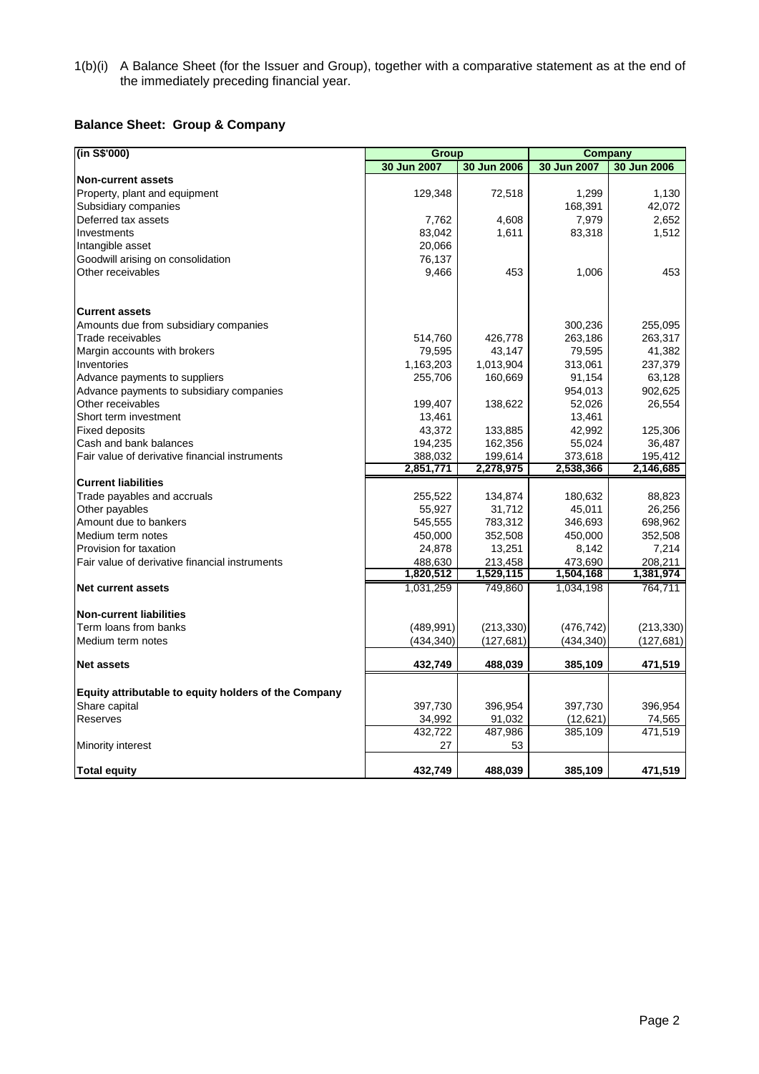1(b)(i) A Balance Sheet (for the Issuer and Group), together with a comparative statement as at the end of the immediately preceding financial year.

# **Balance Sheet: Group & Company**

| (in S\$'000)                                         | Group       |             | Company     |             |  |
|------------------------------------------------------|-------------|-------------|-------------|-------------|--|
|                                                      | 30 Jun 2007 | 30 Jun 2006 | 30 Jun 2007 | 30 Jun 2006 |  |
| <b>Non-current assets</b>                            |             |             |             |             |  |
| Property, plant and equipment                        | 129,348     | 72,518      | 1,299       | 1,130       |  |
| Subsidiary companies                                 |             |             | 168,391     | 42,072      |  |
| Deferred tax assets                                  | 7,762       | 4,608       | 7,979       | 2,652       |  |
| Investments                                          | 83,042      | 1,611       | 83,318      | 1,512       |  |
| Intangible asset                                     | 20,066      |             |             |             |  |
| Goodwill arising on consolidation                    | 76,137      |             |             |             |  |
| Other receivables                                    | 9,466       | 453         | 1,006       | 453         |  |
| <b>Current assets</b>                                |             |             |             |             |  |
| Amounts due from subsidiary companies                |             |             | 300,236     | 255,095     |  |
| Trade receivables                                    | 514,760     | 426,778     | 263,186     | 263,317     |  |
| Margin accounts with brokers                         | 79,595      | 43,147      | 79,595      | 41,382      |  |
|                                                      |             | 1,013,904   |             |             |  |
| Inventories                                          | 1,163,203   |             | 313,061     | 237,379     |  |
| Advance payments to suppliers                        | 255,706     | 160,669     | 91,154      | 63,128      |  |
| Advance payments to subsidiary companies             |             |             | 954,013     | 902,625     |  |
| Other receivables                                    | 199,407     | 138,622     | 52,026      | 26,554      |  |
| Short term investment                                | 13,461      |             | 13,461      |             |  |
| <b>Fixed deposits</b>                                | 43,372      | 133,885     | 42,992      | 125,306     |  |
| Cash and bank balances                               | 194,235     | 162,356     | 55,024      | 36,487      |  |
| Fair value of derivative financial instruments       | 388,032     | 199,614     | 373,618     | 195,412     |  |
|                                                      | 2,851,771   | 2,278,975   | 2,538,366   | 2,146,685   |  |
| <b>Current liabilities</b>                           |             |             |             |             |  |
| Trade payables and accruals                          | 255,522     | 134,874     | 180,632     | 88,823      |  |
| Other payables                                       | 55,927      | 31,712      | 45,011      | 26,256      |  |
| Amount due to bankers                                | 545,555     | 783,312     | 346,693     | 698,962     |  |
| Medium term notes                                    | 450,000     | 352,508     | 450,000     | 352,508     |  |
| Provision for taxation                               | 24,878      | 13,251      | 8,142       | 7,214       |  |
| Fair value of derivative financial instruments       | 488,630     | 213,458     | 473,690     | 208,211     |  |
|                                                      | 1,820,512   | 1,529,115   | 1,504,168   | 1,381,974   |  |
| <b>Net current assets</b>                            | 1,031,259   | 749,860     | 1,034,198   | 764,711     |  |
| <b>Non-current liabilities</b>                       |             |             |             |             |  |
| Term loans from banks                                | (489, 991)  | (213, 330)  | (476, 742)  | (213, 330)  |  |
| Medium term notes                                    | (434, 340)  | (127, 681)  | (434,340)   | (127,681)   |  |
| <b>Net assets</b>                                    | 432,749     | 488,039     | 385,109     | 471,519     |  |
| Equity attributable to equity holders of the Company |             |             |             |             |  |
| Share capital                                        | 397,730     | 396,954     | 397,730     | 396,954     |  |
| Reserves                                             | 34,992      | 91,032      | (12, 621)   | 74,565      |  |
|                                                      | 432,722     | 487,986     | 385,109     | 471,519     |  |
| Minority interest                                    | 27          | 53          |             |             |  |
| <b>Total equity</b>                                  | 432,749     | 488,039     | 385,109     | 471,519     |  |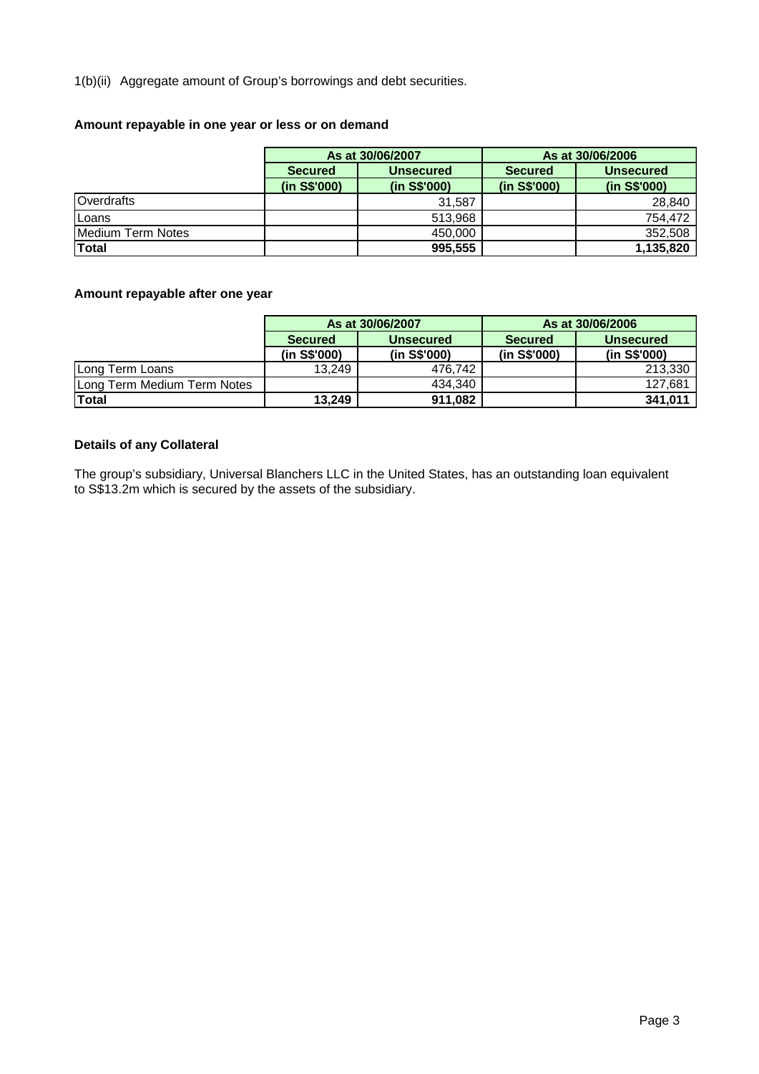1(b)(ii) Aggregate amount of Group's borrowings and debt securities.

# **Amount repayable in one year or less or on demand**

|                   |                | As at 30/06/2007 | As at 30/06/2006 |                  |  |  |
|-------------------|----------------|------------------|------------------|------------------|--|--|
|                   | <b>Secured</b> | <b>Unsecured</b> | <b>Secured</b>   | <b>Unsecured</b> |  |  |
|                   | (in S\$'000)   | (in S\$'000)     | (in S\$'000)     | (in S\$'000)     |  |  |
| Overdrafts        |                | 31,587           |                  | 28,840           |  |  |
| Loans             |                | 513.968          |                  | 754.472          |  |  |
| Medium Term Notes |                | 450.000          |                  | 352,508          |  |  |
| <b>Total</b>      |                | 995,555          |                  | 1,135,820        |  |  |

# **Amount repayable after one year**

|                             |                | As at 30/06/2007 | As at 30/06/2006 |                  |  |  |
|-----------------------------|----------------|------------------|------------------|------------------|--|--|
|                             | <b>Secured</b> | <b>Unsecured</b> | <b>Secured</b>   | <b>Unsecured</b> |  |  |
|                             | (in S\$'000)   | (in S\$'000)     | (in S\$'000)     | (in S\$'000)     |  |  |
| Long Term Loans             | 13.249         | 476.742          |                  | 213,330          |  |  |
| Long Term Medium Term Notes |                | 434.340          |                  | 127,681          |  |  |
| Total                       | 13.249         | 911,082          |                  | 341,011          |  |  |

# **Details of any Collateral**

The group's subsidiary, Universal Blanchers LLC in the United States, has an outstanding loan equivalent to S\$13.2m which is secured by the assets of the subsidiary.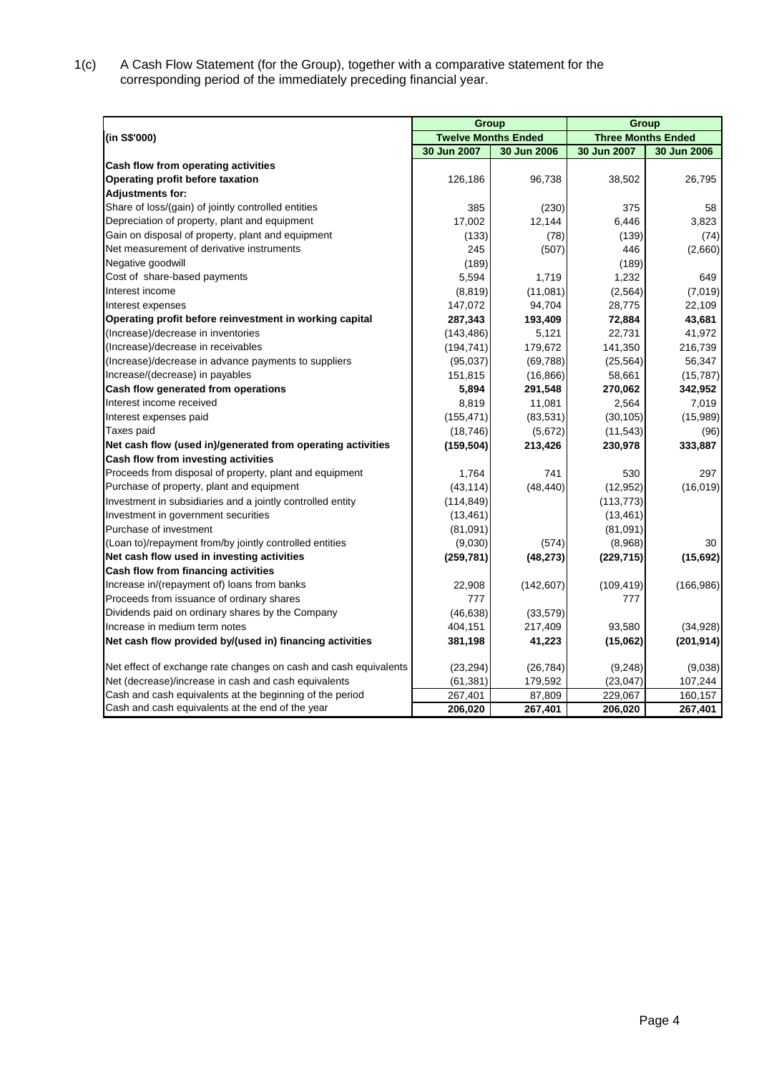1(c) A Cash Flow Statement (for the Group), together with a comparative statement for the corresponding period of the immediately preceding financial year.

|                                                                  | Group                      |             | Group                     |             |  |
|------------------------------------------------------------------|----------------------------|-------------|---------------------------|-------------|--|
| (in S\$'000)                                                     | <b>Twelve Months Ended</b> |             | <b>Three Months Ended</b> |             |  |
|                                                                  | 30 Jun 2007                | 30 Jun 2006 | 30 Jun 2007               | 30 Jun 2006 |  |
| Cash flow from operating activities                              |                            |             |                           |             |  |
| Operating profit before taxation                                 | 126,186                    | 96,738      | 38,502                    | 26,795      |  |
| <b>Adjustments for:</b>                                          |                            |             |                           |             |  |
| Share of loss/(gain) of jointly controlled entities              | 385                        | (230)       | 375                       | 58          |  |
| Depreciation of property, plant and equipment                    | 17,002                     | 12,144      | 6,446                     | 3,823       |  |
| Gain on disposal of property, plant and equipment                | (133)                      | (78)        | (139)                     | (74)        |  |
| Net measurement of derivative instruments                        | 245                        | (507)       | 446                       | (2,660)     |  |
| Negative goodwill                                                | (189)                      |             | (189)                     |             |  |
| Cost of share-based payments                                     | 5,594                      | 1,719       | 1,232                     | 649         |  |
| Interest income                                                  | (8, 819)                   | (11,081)    | (2, 564)                  | (7,019)     |  |
| Interest expenses                                                | 147,072                    | 94,704      | 28,775                    | 22,109      |  |
| Operating profit before reinvestment in working capital          | 287,343                    | 193,409     | 72,884                    | 43,681      |  |
| (Increase)/decrease in inventories                               | (143, 486)                 | 5,121       | 22,731                    | 41,972      |  |
| (Increase)/decrease in receivables                               | (194, 741)                 | 179,672     | 141,350                   | 216,739     |  |
| (Increase)/decrease in advance payments to suppliers             | (95,037)                   | (69, 788)   | (25, 564)                 | 56,347      |  |
| Increase/(decrease) in payables                                  | 151,815                    | (16, 866)   | 58,661                    | (15, 787)   |  |
| Cash flow generated from operations                              | 5,894                      | 291,548     | 270,062                   | 342,952     |  |
| Interest income received                                         | 8,819                      | 11,081      | 2,564                     | 7,019       |  |
| Interest expenses paid                                           | (155, 471)                 | (83, 531)   | (30, 105)                 | (15,989)    |  |
| Taxes paid                                                       | (18, 746)                  | (5,672)     | (11, 543)                 | (96)        |  |
| Net cash flow (used in)/generated from operating activities      | (159, 504)                 | 213,426     | 230,978                   | 333,887     |  |
| Cash flow from investing activities                              |                            |             |                           |             |  |
| Proceeds from disposal of property, plant and equipment          | 1,764                      | 741         | 530                       | 297         |  |
| Purchase of property, plant and equipment                        | (43, 114)                  | (48, 440)   | (12, 952)                 | (16,019)    |  |
| Investment in subsidiaries and a jointly controlled entity       | (114, 849)                 |             | (113, 773)                |             |  |
| Investment in government securities                              | (13, 461)                  |             | (13, 461)                 |             |  |
| Purchase of investment                                           | (81,091)                   |             | (81,091)                  |             |  |
| (Loan to)/repayment from/by jointly controlled entities          | (9,030)                    | (574)       | (8,968)                   | 30          |  |
| Net cash flow used in investing activities                       | (259, 781)                 | (48, 273)   | (229, 715)                | (15,692)    |  |
| Cash flow from financing activities                              |                            |             |                           |             |  |
| Increase in/(repayment of) loans from banks                      | 22,908                     | (142, 607)  | (109, 419)                | (166, 986)  |  |
| Proceeds from issuance of ordinary shares                        | 777                        |             | 777                       |             |  |
| Dividends paid on ordinary shares by the Company                 | (46, 638)                  | (33, 579)   |                           |             |  |
| Increase in medium term notes                                    | 404,151                    | 217,409     | 93.580                    | (34,928)    |  |
| Net cash flow provided by/(used in) financing activities         | 381,198                    | 41,223      | (15,062)                  | (201, 914)  |  |
| Net effect of exchange rate changes on cash and cash equivalents | (23, 294)                  | (26, 784)   | (9,248)                   | (9,038)     |  |
| Net (decrease)/increase in cash and cash equivalents             | (61, 381)                  | 179,592     | (23, 047)                 | 107,244     |  |
| Cash and cash equivalents at the beginning of the period         | 267,401                    | 87,809      | 229,067                   | 160,157     |  |
| Cash and cash equivalents at the end of the year                 | 206,020                    | 267,401     | 206,020                   | 267,401     |  |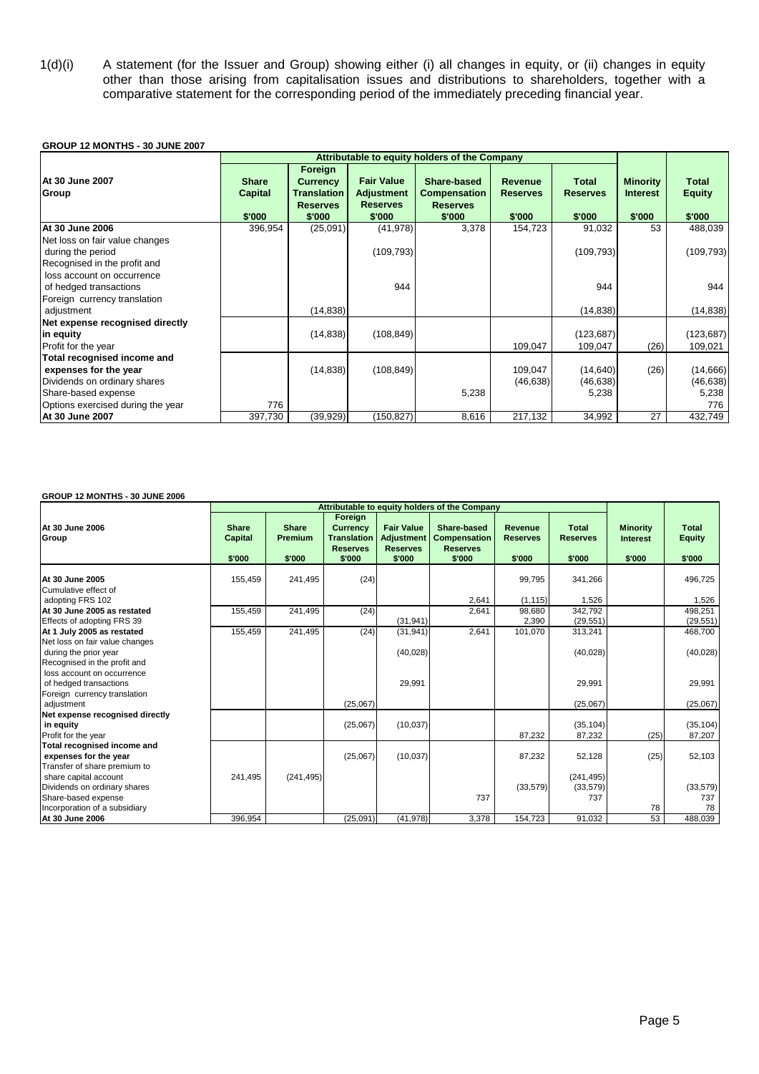1(d)(i) A statement (for the Issuer and Group) showing either (i) all changes in equity, or (ii) changes in equity other than those arising from capitalisation issues and distributions to shareholders, together with a comparative statement for the corresponding period of the immediately preceding financial year.

#### **GROUP 12 MONTHS - 30 JUNE 2007**

|                                                                                                                                                  | Attributable to equity holders of the Company |                                                                               |                                                                     |                                                                 |                                             |                                           |                                              |                                         |
|--------------------------------------------------------------------------------------------------------------------------------------------------|-----------------------------------------------|-------------------------------------------------------------------------------|---------------------------------------------------------------------|-----------------------------------------------------------------|---------------------------------------------|-------------------------------------------|----------------------------------------------|-----------------------------------------|
| <b>At 30 June 2007</b><br>Group                                                                                                                  | <b>Share</b><br><b>Capital</b><br>\$'000      | Foreign<br><b>Currency</b><br><b>Translation</b><br><b>Reserves</b><br>\$'000 | <b>Fair Value</b><br><b>Adjustment</b><br><b>Reserves</b><br>\$'000 | Share-based<br><b>Compensation</b><br><b>Reserves</b><br>\$'000 | <b>Revenue</b><br><b>Reserves</b><br>\$'000 | <b>Total</b><br><b>Reserves</b><br>\$'000 | <b>Minority</b><br><b>Interest</b><br>\$'000 | <b>Total</b><br><b>Equity</b><br>\$'000 |
| At 30 June 2006                                                                                                                                  | 396,954                                       | (25,091)                                                                      | (41, 978)                                                           | 3,378                                                           | 154,723                                     | 91,032                                    | 53                                           | 488,039                                 |
| Net loss on fair value changes<br>during the period<br>Recognised in the profit and                                                              |                                               |                                                                               | (109, 793)                                                          |                                                                 |                                             | (109, 793)                                |                                              | (109, 793)                              |
| loss account on occurrence<br>of hedged transactions<br>Foreign currency translation                                                             |                                               |                                                                               | 944                                                                 |                                                                 |                                             | 944                                       |                                              | 944                                     |
| adjustment                                                                                                                                       |                                               | (14, 838)                                                                     |                                                                     |                                                                 |                                             | (14, 838)                                 |                                              | (14, 838)                               |
| Net expense recognised directly<br>in equity<br>Profit for the year                                                                              |                                               | (14, 838)                                                                     | (108, 849)                                                          |                                                                 | 109,047                                     | (123, 687)<br>109,047                     | (26)                                         | (123, 687)<br>109,021                   |
| Total recognised income and<br>expenses for the year<br>Dividends on ordinary shares<br>Share-based expense<br>Options exercised during the year | 776                                           | (14, 838)                                                                     | (108, 849)                                                          | 5,238                                                           | 109.047<br>(46, 638)                        | (14, 640)<br>(46, 638)<br>5,238           | (26)                                         | (14,666)<br>(46, 638)<br>5,238<br>776   |
| At 30 June 2007                                                                                                                                  | 397,730                                       | (39, 929)                                                                     | (150, 827)                                                          | 8,616                                                           | 217,132                                     | 34,992                                    | 27                                           | 432,749                                 |

#### **GROUP 12 MONTHS - 30 JUNE 2006**

|                                                                                                                      |                                   |                                          |                                                                        |                                                                     | Attributable to equity holders of the Company                   |                                      |                                           |                                              |                                         |
|----------------------------------------------------------------------------------------------------------------------|-----------------------------------|------------------------------------------|------------------------------------------------------------------------|---------------------------------------------------------------------|-----------------------------------------------------------------|--------------------------------------|-------------------------------------------|----------------------------------------------|-----------------------------------------|
| At 30 June 2006<br>Group                                                                                             | <b>Share</b><br>Capital<br>\$'000 | <b>Share</b><br><b>Premium</b><br>\$'000 | Foreign<br><b>Currency</b><br>Translation<br><b>Reserves</b><br>\$'000 | <b>Fair Value</b><br><b>Adjustment</b><br><b>Reserves</b><br>\$'000 | Share-based<br><b>Compensation</b><br><b>Reserves</b><br>\$'000 | Revenue<br><b>Reserves</b><br>\$'000 | <b>Total</b><br><b>Reserves</b><br>\$'000 | <b>Minority</b><br><b>Interest</b><br>\$'000 | <b>Total</b><br><b>Equity</b><br>\$'000 |
| At 30 June 2005<br>Cumulative effect of                                                                              | 155,459                           | 241,495                                  | (24)                                                                   |                                                                     |                                                                 | 99,795                               | 341,266                                   |                                              | 496,725                                 |
| adopting FRS 102                                                                                                     |                                   |                                          |                                                                        |                                                                     | 2,641                                                           | (1, 115)                             | 1,526                                     |                                              | 1.526                                   |
| At 30 June 2005 as restated<br>Effects of adopting FRS 39                                                            | 155,459                           | 241,495                                  | (24)                                                                   | (31, 941)                                                           | 2,641                                                           | 98.680<br>2,390                      | 342,792<br>(29, 551)                      |                                              | 498.251<br>(29, 551)                    |
| At 1 July 2005 as restated<br>Net loss on fair value changes<br>during the prior year                                | 155,459                           | 241,495                                  | (24)                                                                   | (31, 941)<br>(40, 028)                                              | 2,641                                                           | 101,070                              | 313,241<br>(40, 028)                      |                                              | 468,700<br>(40,028)                     |
| Recognised in the profit and<br>loss account on occurrence<br>of hedged transactions<br>Foreign currency translation |                                   |                                          |                                                                        | 29,991                                                              |                                                                 |                                      | 29,991                                    |                                              | 29,991                                  |
| adjustment                                                                                                           |                                   |                                          | (25,067)                                                               |                                                                     |                                                                 |                                      | (25,067)                                  |                                              | (25,067)                                |
| Net expense recognised directly<br>in equity<br>Profit for the year                                                  |                                   |                                          | (25,067)                                                               | (10,037)                                                            |                                                                 | 87,232                               | (35, 104)<br>87,232                       | (25)                                         | (35, 104)<br>87,207                     |
| Total recognised income and<br>expenses for the year<br>Transfer of share premium to                                 |                                   |                                          | (25,067)                                                               | (10, 037)                                                           |                                                                 | 87,232                               | 52,128                                    | (25)                                         | 52,103                                  |
| share capital account<br>Dividends on ordinary shares<br>Share-based expense<br>Incorporation of a subsidiary        | 241,495                           | (241, 495)                               |                                                                        |                                                                     | 737                                                             | (33, 579)                            | (241, 495)<br>(33, 579)<br>737            | 78                                           | (33, 579)<br>737<br>78                  |
| At 30 June 2006                                                                                                      | 396,954                           |                                          | (25,091)                                                               | (41, 978)                                                           | 3,378                                                           | 154,723                              | 91,032                                    | 53                                           | 488,039                                 |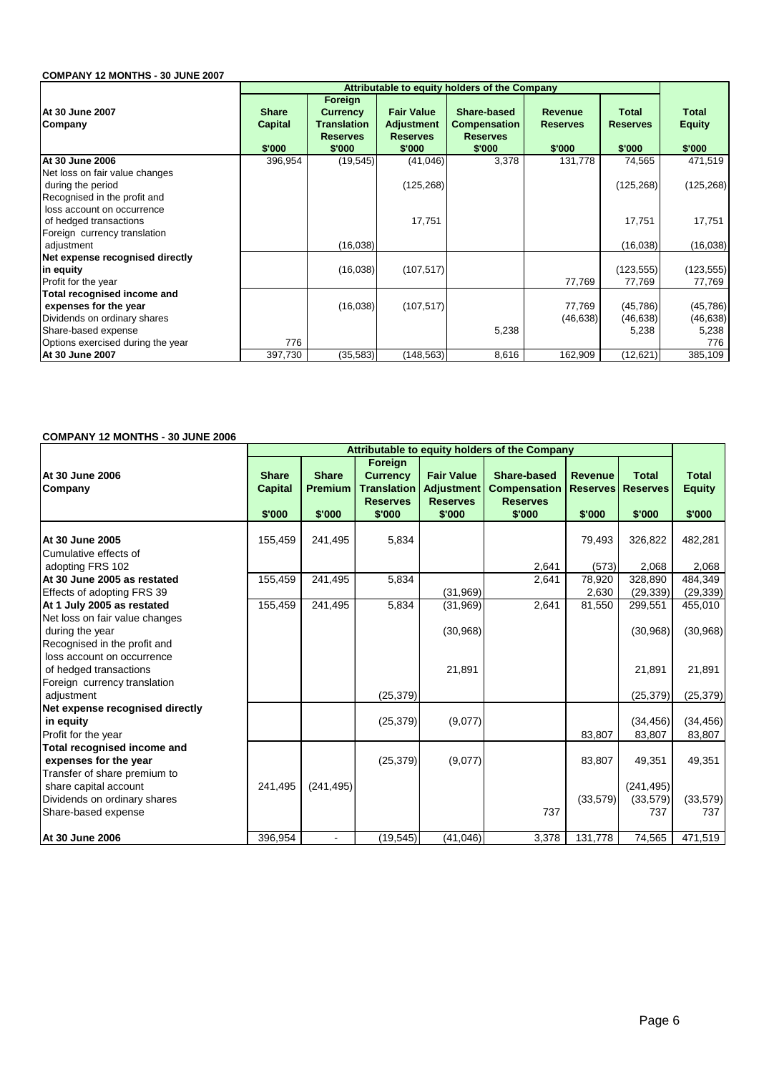### **COMPANY 12 MONTHS - 30 JUNE 2007**

|                                                                                      | Attributable to equity holders of the Company |                                                                               |                                                                     |                                                                 |                                             |                                           |                                         |  |  |  |
|--------------------------------------------------------------------------------------|-----------------------------------------------|-------------------------------------------------------------------------------|---------------------------------------------------------------------|-----------------------------------------------------------------|---------------------------------------------|-------------------------------------------|-----------------------------------------|--|--|--|
| At 30 June 2007<br>Company                                                           | <b>Share</b><br><b>Capital</b><br>\$'000      | Foreign<br><b>Currency</b><br><b>Translation</b><br><b>Reserves</b><br>\$'000 | <b>Fair Value</b><br><b>Adjustment</b><br><b>Reserves</b><br>\$'000 | Share-based<br><b>Compensation</b><br><b>Reserves</b><br>\$'000 | <b>Revenue</b><br><b>Reserves</b><br>\$'000 | <b>Total</b><br><b>Reserves</b><br>\$'000 | <b>Total</b><br><b>Equity</b><br>\$'000 |  |  |  |
| At 30 June 2006                                                                      | 396,954                                       | (19, 545)                                                                     | (41, 046)                                                           | 3,378                                                           | 131,778                                     | 74,565                                    | 471,519                                 |  |  |  |
| Net loss on fair value changes<br>during the period<br>Recognised in the profit and  |                                               |                                                                               | (125, 268)                                                          |                                                                 |                                             | (125, 268)                                | (125, 268)                              |  |  |  |
| loss account on occurrence<br>of hedged transactions<br>Foreign currency translation |                                               |                                                                               | 17,751                                                              |                                                                 |                                             | 17,751                                    | 17,751                                  |  |  |  |
| adjustment                                                                           |                                               | (16, 038)                                                                     |                                                                     |                                                                 |                                             | (16,038)                                  | (16,038)                                |  |  |  |
| Net expense recognised directly<br>in equity<br>Profit for the year                  |                                               | (16,038)                                                                      | (107, 517)                                                          |                                                                 | 77,769                                      | (123, 555)<br>77,769                      | (123, 555)<br>77,769                    |  |  |  |
| Total recognised income and<br>expenses for the year<br>Dividends on ordinary shares |                                               | (16,038)                                                                      | (107, 517)                                                          |                                                                 | 77,769<br>(46, 638)                         | (45, 786)<br>(46, 638)                    | (45, 786)<br>(46, 638)                  |  |  |  |
| Share-based expense<br>Options exercised during the year                             | 776                                           |                                                                               |                                                                     | 5,238                                                           |                                             | 5,238                                     | 5,238<br>776                            |  |  |  |
| At 30 June 2007                                                                      | 397,730                                       | (35, 583)                                                                     | (148, 563)                                                          | 8,616                                                           | 162,909                                     | (12,621)                                  | 385,109                                 |  |  |  |

#### **COMPANY 12 MONTHS - 30 JUNE 2006**

|                                                 | Attributable to equity holders of the Company |                                          |                                                                               |                                                                     |                                                                 |                                             |                                           |                                         |
|-------------------------------------------------|-----------------------------------------------|------------------------------------------|-------------------------------------------------------------------------------|---------------------------------------------------------------------|-----------------------------------------------------------------|---------------------------------------------|-------------------------------------------|-----------------------------------------|
| At 30 June 2006<br>Company                      | <b>Share</b><br><b>Capital</b><br>\$'000      | <b>Share</b><br><b>Premium</b><br>\$'000 | Foreign<br><b>Currency</b><br><b>Translation</b><br><b>Reserves</b><br>\$'000 | <b>Fair Value</b><br><b>Adjustment</b><br><b>Reserves</b><br>\$'000 | Share-based<br><b>Compensation</b><br><b>Reserves</b><br>\$'000 | <b>Revenue</b><br><b>Reserves</b><br>\$'000 | <b>Total</b><br><b>Reserves</b><br>\$'000 | <b>Total</b><br><b>Equity</b><br>\$'000 |
|                                                 |                                               |                                          |                                                                               |                                                                     |                                                                 |                                             |                                           |                                         |
| At 30 June 2005                                 | 155,459                                       | 241,495                                  | 5,834                                                                         |                                                                     |                                                                 | 79,493                                      | 326,822                                   | 482,281                                 |
| Cumulative effects of                           |                                               |                                          |                                                                               |                                                                     |                                                                 |                                             |                                           |                                         |
| adopting FRS 102<br>At 30 June 2005 as restated | 155,459                                       | 241,495                                  | 5,834                                                                         |                                                                     | 2,641<br>2,641                                                  | (573)<br>78,920                             | 2,068<br>328,890                          | 2,068<br>484,349                        |
| Effects of adopting FRS 39                      |                                               |                                          |                                                                               | (31, 969)                                                           |                                                                 | 2,630                                       | (29, 339)                                 | (29, 339)                               |
| At 1 July 2005 as restated                      | 155,459                                       | 241,495                                  | 5,834                                                                         | (31,969)                                                            | 2,641                                                           | 81,550                                      | 299,551                                   | 455,010                                 |
| Net loss on fair value changes                  |                                               |                                          |                                                                               |                                                                     |                                                                 |                                             |                                           |                                         |
| during the year                                 |                                               |                                          |                                                                               | (30, 968)                                                           |                                                                 |                                             | (30, 968)                                 | (30, 968)                               |
| Recognised in the profit and                    |                                               |                                          |                                                                               |                                                                     |                                                                 |                                             |                                           |                                         |
| loss account on occurrence                      |                                               |                                          |                                                                               |                                                                     |                                                                 |                                             |                                           |                                         |
| of hedged transactions                          |                                               |                                          |                                                                               | 21,891                                                              |                                                                 |                                             | 21,891                                    | 21,891                                  |
| Foreign currency translation                    |                                               |                                          |                                                                               |                                                                     |                                                                 |                                             |                                           |                                         |
| adjustment                                      |                                               |                                          | (25, 379)                                                                     |                                                                     |                                                                 |                                             | (25, 379)                                 | (25, 379)                               |
| Net expense recognised directly                 |                                               |                                          |                                                                               |                                                                     |                                                                 |                                             |                                           |                                         |
| in equity                                       |                                               |                                          | (25, 379)                                                                     | (9,077)                                                             |                                                                 |                                             | (34, 456)                                 | (34, 456)                               |
| Profit for the year                             |                                               |                                          |                                                                               |                                                                     |                                                                 | 83,807                                      | 83,807                                    | 83,807                                  |
| Total recognised income and                     |                                               |                                          |                                                                               |                                                                     |                                                                 |                                             |                                           |                                         |
| expenses for the year                           |                                               |                                          | (25, 379)                                                                     | (9,077)                                                             |                                                                 | 83,807                                      | 49,351                                    | 49,351                                  |
| Transfer of share premium to                    |                                               |                                          |                                                                               |                                                                     |                                                                 |                                             |                                           |                                         |
| share capital account                           | 241,495                                       | (241, 495)                               |                                                                               |                                                                     |                                                                 |                                             | (241, 495)                                |                                         |
| Dividends on ordinary shares                    |                                               |                                          |                                                                               |                                                                     |                                                                 | (33,579)                                    | (33,579)                                  | (33, 579)                               |
| Share-based expense                             |                                               |                                          |                                                                               |                                                                     | 737                                                             |                                             | 737                                       | 737                                     |
| <b>At 30 June 2006</b>                          | 396,954                                       |                                          | (19, 545)                                                                     | (41,046)                                                            | 3,378                                                           | 131,778                                     | 74,565                                    | 471,519                                 |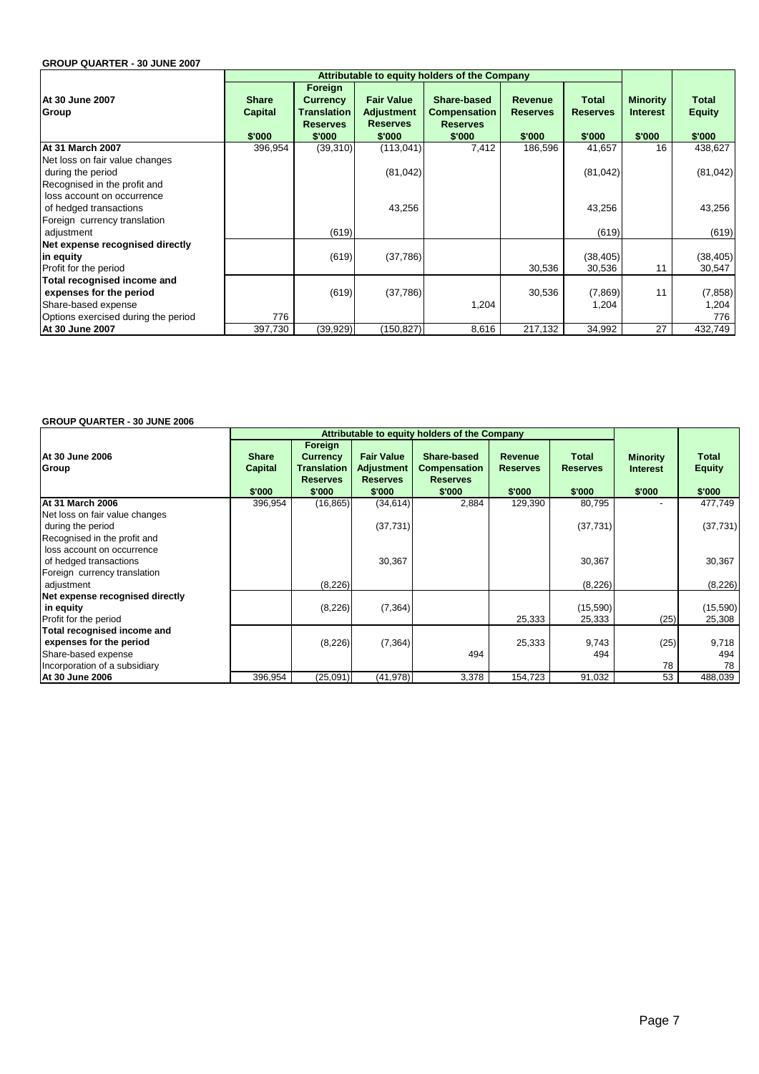#### **GROUP QUARTER - 30 JUNE 2007**

|                                                            |                                |                                                                     |                                                           | Attributable to equity holders of the Company         |                                   |                          |                                    |                               |
|------------------------------------------------------------|--------------------------------|---------------------------------------------------------------------|-----------------------------------------------------------|-------------------------------------------------------|-----------------------------------|--------------------------|------------------------------------|-------------------------------|
| At 30 June 2007<br>Group                                   | <b>Share</b><br><b>Capital</b> | Foreign<br><b>Currency</b><br><b>Translation</b><br><b>Reserves</b> | <b>Fair Value</b><br><b>Adjustment</b><br><b>Reserves</b> | Share-based<br><b>Compensation</b><br><b>Reserves</b> | <b>Revenue</b><br><b>Reserves</b> | Total<br><b>Reserves</b> | <b>Minority</b><br><b>Interest</b> | <b>Total</b><br><b>Equity</b> |
|                                                            | \$'000                         | \$'000                                                              | \$'000                                                    | \$'000                                                | \$'000                            | \$'000                   | \$'000                             | \$'000                        |
| At 31 March 2007                                           | 396,954                        | (39,310)                                                            | (113, 041)                                                | 7,412                                                 | 186,596                           | 41,657                   | 16                                 | 438,627                       |
| Net loss on fair value changes<br>during the period        |                                |                                                                     | (81, 042)                                                 |                                                       |                                   | (81, 042)                |                                    | (81, 042)                     |
| Recognised in the profit and<br>loss account on occurrence |                                |                                                                     |                                                           |                                                       |                                   |                          |                                    |                               |
| of hedged transactions                                     |                                |                                                                     | 43,256                                                    |                                                       |                                   | 43,256                   |                                    | 43,256                        |
| Foreign currency translation<br>adjustment                 |                                | (619)                                                               |                                                           |                                                       |                                   | (619)                    |                                    | (619)                         |
| Net expense recognised directly                            |                                |                                                                     |                                                           |                                                       |                                   |                          |                                    |                               |
| in equity                                                  |                                | (619)                                                               | (37,786)                                                  |                                                       |                                   | (38, 405)                |                                    | (38, 405)                     |
| Profit for the period                                      |                                |                                                                     |                                                           |                                                       | 30,536                            | 30,536                   | 11                                 | 30,547                        |
| Total recognised income and                                |                                |                                                                     |                                                           |                                                       |                                   |                          |                                    |                               |
| expenses for the period                                    |                                | (619)                                                               | (37, 786)                                                 |                                                       | 30,536                            | (7,869)                  | 11                                 | (7, 858)                      |
| Share-based expense                                        |                                |                                                                     |                                                           | 1,204                                                 |                                   | 1,204                    |                                    | 1,204                         |
| Options exercised during the period                        | 776                            |                                                                     |                                                           |                                                       |                                   |                          |                                    | 776                           |
| At 30 June 2007                                            | 397,730                        | (39, 929)                                                           | (150,827)                                                 | 8,616                                                 | 217,132                           | 34,992                   | 27                                 | 432,749                       |

#### **GROUP QUARTER - 30 JUNE 2006**

|                                                                                      |                                          | Attributable to equity holders of the Company                                 |                                                                     |                                                                 |                                             |                                    |                                              |                                  |
|--------------------------------------------------------------------------------------|------------------------------------------|-------------------------------------------------------------------------------|---------------------------------------------------------------------|-----------------------------------------------------------------|---------------------------------------------|------------------------------------|----------------------------------------------|----------------------------------|
| IAt 30 June 2006<br>Group                                                            | <b>Share</b><br><b>Capital</b><br>\$'000 | Foreign<br><b>Currency</b><br><b>Translation</b><br><b>Reserves</b><br>\$'000 | <b>Fair Value</b><br><b>Adjustment</b><br><b>Reserves</b><br>\$'000 | Share-based<br><b>Compensation</b><br><b>Reserves</b><br>\$'000 | <b>Revenue</b><br><b>Reserves</b><br>\$'000 | Total<br><b>Reserves</b><br>\$'000 | <b>Minority</b><br><b>Interest</b><br>\$'000 | Total<br><b>Equity</b><br>\$'000 |
| <b>At 31 March 2006</b>                                                              | 396,954                                  | (16, 865)                                                                     | (34, 614)                                                           | 2,884                                                           | 129,390                                     | 80,795                             |                                              | 477,749                          |
| Net loss on fair value changes<br>during the period<br>Recognised in the profit and  |                                          |                                                                               | (37, 731)                                                           |                                                                 |                                             | (37, 731)                          |                                              | (37, 731)                        |
| loss account on occurrence<br>of hedged transactions<br>Foreign currency translation |                                          |                                                                               | 30,367                                                              |                                                                 |                                             | 30,367                             |                                              | 30,367                           |
| adjustment                                                                           |                                          | (8,226)                                                                       |                                                                     |                                                                 |                                             | (8, 226)                           |                                              | (8, 226)                         |
| Net expense recognised directly<br>in equity<br>Profit for the period                |                                          | (8,226)                                                                       | (7, 364)                                                            |                                                                 | 25,333                                      | (15,590)<br>25,333                 | (25)                                         | (15,590)<br>25,308               |
| Total recognised income and<br>expenses for the period                               |                                          | (8,226)                                                                       | (7, 364)                                                            |                                                                 | 25,333                                      | 9,743                              | (25)                                         | 9,718                            |
| Share-based expense<br>Incorporation of a subsidiary                                 |                                          |                                                                               |                                                                     | 494                                                             |                                             | 494                                | 78                                           | 494<br>78                        |
| At 30 June 2006                                                                      | 396,954                                  | (25,091)                                                                      | (41, 978)                                                           | 3,378                                                           | 154,723                                     | 91,032                             | 53                                           | 488,039                          |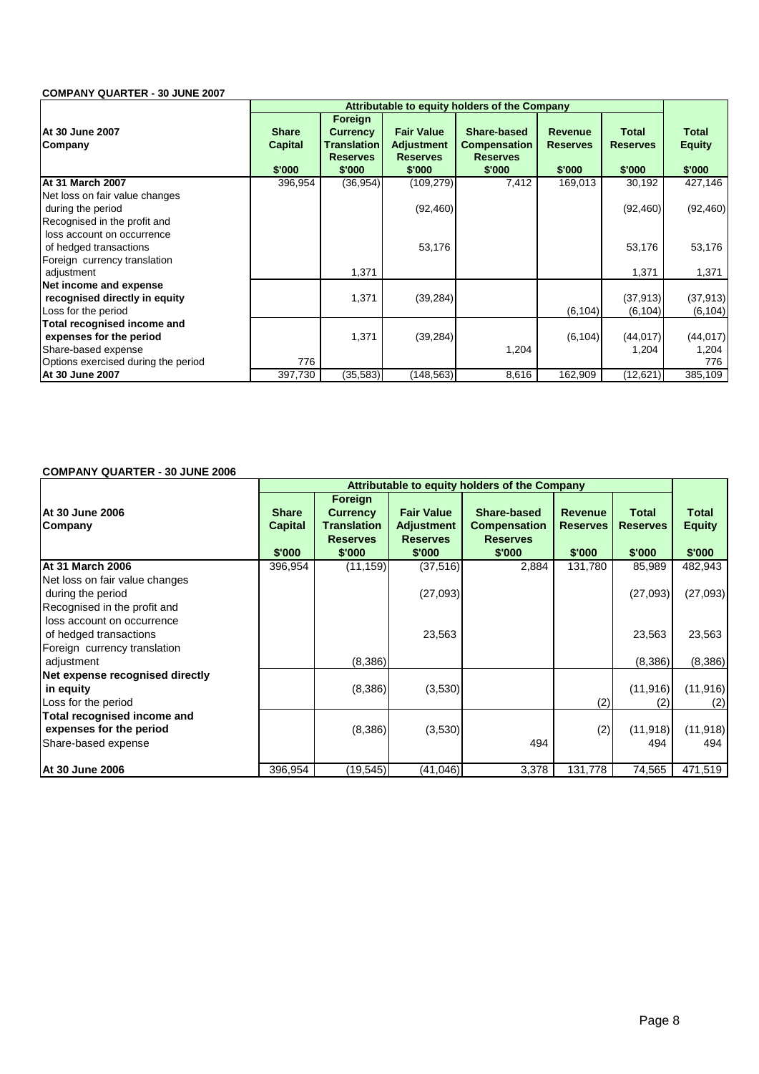### **COMPANY QUARTER - 30 JUNE 2007**

|                                     |                |                           |                           | Attributable to equity holders of the Company |                 |                 |               |
|-------------------------------------|----------------|---------------------------|---------------------------|-----------------------------------------------|-----------------|-----------------|---------------|
| IAt 30 June 2007                    | <b>Share</b>   | Foreign                   | <b>Fair Value</b>         | Share-based                                   | <b>Revenue</b>  | <b>Total</b>    | Total         |
|                                     |                | <b>Currency</b>           |                           |                                               |                 |                 |               |
| Company                             | <b>Capital</b> | <b>Translation</b>        | <b>Adjustment</b>         | <b>Compensation</b>                           | <b>Reserves</b> | <b>Reserves</b> | <b>Equity</b> |
|                                     | \$'000         | <b>Reserves</b><br>\$'000 | <b>Reserves</b><br>\$'000 | <b>Reserves</b><br>\$'000                     | \$'000          | \$'000          | \$'000        |
| <b>At 31 March 2007</b>             | 396,954        | (36, 954)                 | (109, 279)                | 7,412                                         | 169,013         | 30,192          | 427,146       |
| Net loss on fair value changes      |                |                           |                           |                                               |                 |                 |               |
| during the period                   |                |                           | (92, 460)                 |                                               |                 | (92, 460)       | (92, 460)     |
| Recognised in the profit and        |                |                           |                           |                                               |                 |                 |               |
| loss account on occurrence          |                |                           |                           |                                               |                 |                 |               |
| of hedged transactions              |                |                           | 53,176                    |                                               |                 | 53,176          | 53,176        |
| Foreign currency translation        |                |                           |                           |                                               |                 |                 |               |
| adjustment                          |                | 1,371                     |                           |                                               |                 | 1,371           | 1,371         |
| Net income and expense              |                |                           |                           |                                               |                 |                 |               |
| recognised directly in equity       |                | 1,371                     | (39, 284)                 |                                               |                 | (37, 913)       | (37, 913)     |
| Loss for the period                 |                |                           |                           |                                               | (6, 104)        | (6, 104)        | (6, 104)      |
| Total recognised income and         |                |                           |                           |                                               |                 |                 |               |
| expenses for the period             |                | 1,371                     | (39, 284)                 |                                               | (6, 104)        | (44, 017)       | (44, 017)     |
| Share-based expense                 |                |                           |                           | 1,204                                         |                 | 1,204           | 1,204         |
| Options exercised during the period | 776            |                           |                           |                                               |                 |                 | 776           |
| At 30 June 2007                     | 397,730        | (35, 583)                 | (148,563)                 | 8,616                                         | 162,909         | (12,621)        | 385,109       |

### **COMPANY QUARTER - 30 JUNE 2006**

|                                                                                      | Attributable to equity holders of the Company |                                                                        |                                                                     |                                                                 |                                             |                                    |                                  |
|--------------------------------------------------------------------------------------|-----------------------------------------------|------------------------------------------------------------------------|---------------------------------------------------------------------|-----------------------------------------------------------------|---------------------------------------------|------------------------------------|----------------------------------|
| At 30 June 2006<br>Company                                                           | <b>Share</b><br><b>Capital</b><br>\$'000      | Foreign<br><b>Currency</b><br>Translation<br><b>Reserves</b><br>\$'000 | <b>Fair Value</b><br><b>Adjustment</b><br><b>Reserves</b><br>\$'000 | Share-based<br><b>Compensation</b><br><b>Reserves</b><br>\$'000 | <b>Revenue</b><br><b>Reserves</b><br>\$'000 | Total<br><b>Reserves</b><br>\$'000 | Total<br><b>Equity</b><br>\$'000 |
| <b>At 31 March 2006</b>                                                              | 396,954                                       | (11, 159)                                                              | (37, 516)                                                           | 2,884                                                           | 131,780                                     | 85,989                             | 482,943                          |
| Net loss on fair value changes<br>during the period<br>Recognised in the profit and  |                                               |                                                                        | (27,093)                                                            |                                                                 |                                             | (27,093)                           | (27,093)                         |
| loss account on occurrence<br>of hedged transactions<br>Foreign currency translation |                                               |                                                                        | 23,563                                                              |                                                                 |                                             | 23,563                             | 23,563                           |
| adjustment                                                                           |                                               | (8,386)                                                                |                                                                     |                                                                 |                                             | (8,386)                            | (8,386)                          |
| Net expense recognised directly                                                      |                                               |                                                                        |                                                                     |                                                                 |                                             |                                    |                                  |
| in equity<br>Loss for the period                                                     |                                               | (8,386)                                                                | (3,530)                                                             |                                                                 | (2)                                         | (11, 916)<br>(2)                   | (11, 916)<br>(2)                 |
| Total recognised income and<br>expenses for the period<br>Share-based expense        |                                               | (8,386)                                                                | (3,530)                                                             | 494                                                             | (2)                                         | (11, 918)<br>494                   | (11, 918)<br>494                 |
| At 30 June 2006                                                                      | 396,954                                       | (19, 545)                                                              | (41,046)                                                            | 3,378                                                           | 131,778                                     | 74,565                             | 471,519                          |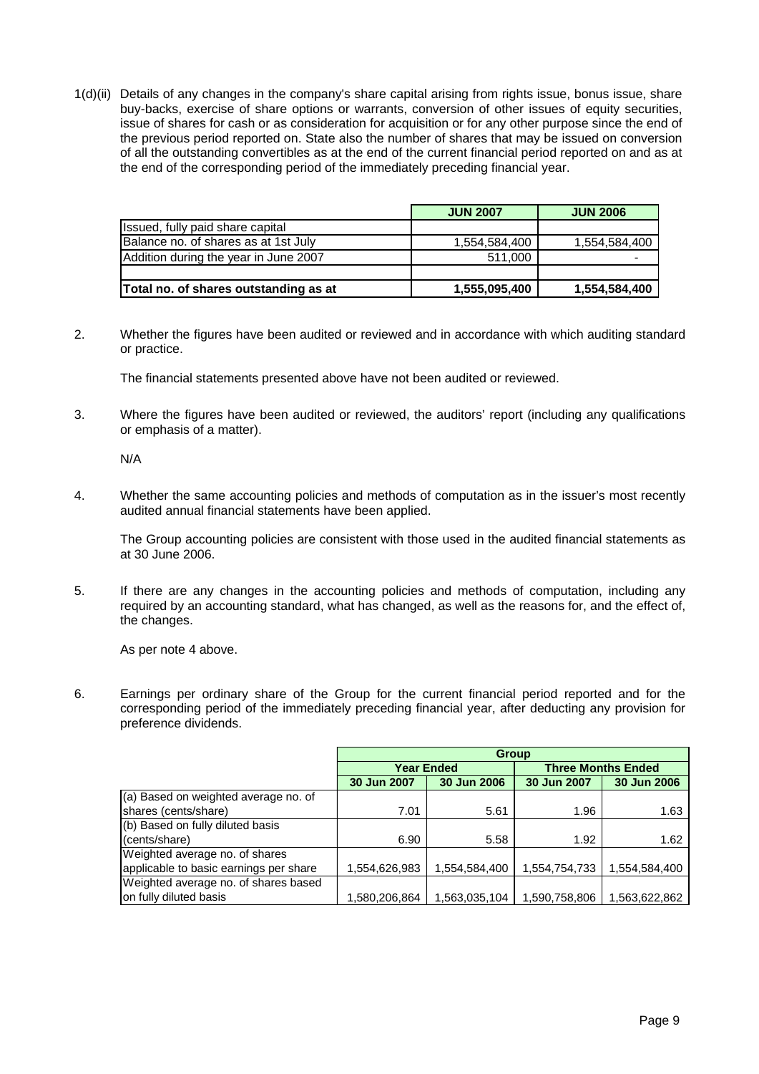1(d)(ii) Details of any changes in the company's share capital arising from rights issue, bonus issue, share buy-backs, exercise of share options or warrants, conversion of other issues of equity securities, issue of shares for cash or as consideration for acquisition or for any other purpose since the end of the previous period reported on. State also the number of shares that may be issued on conversion of all the outstanding convertibles as at the end of the current financial period reported on and as at the end of the corresponding period of the immediately preceding financial year.

|                                       | <b>JUN 2007</b> | <b>JUN 2006</b> |
|---------------------------------------|-----------------|-----------------|
| Issued, fully paid share capital      |                 |                 |
| Balance no. of shares as at 1st July  | 1,554,584,400   | 1,554,584,400   |
| Addition during the year in June 2007 | 511.000         |                 |
|                                       |                 |                 |
| Total no. of shares outstanding as at | 1,555,095,400   | 1,554,584,400   |

2. Whether the figures have been audited or reviewed and in accordance with which auditing standard or practice.

The financial statements presented above have not been audited or reviewed.

3. Where the figures have been audited or reviewed, the auditors' report (including any qualifications or emphasis of a matter).

N/A

4. Whether the same accounting policies and methods of computation as in the issuer's most recently audited annual financial statements have been applied.

 The Group accounting policies are consistent with those used in the audited financial statements as at 30 June 2006.

5. If there are any changes in the accounting policies and methods of computation, including any required by an accounting standard, what has changed, as well as the reasons for, and the effect of, the changes.

As per note 4 above.

6. Earnings per ordinary share of the Group for the current financial period reported and for the corresponding period of the immediately preceding financial year, after deducting any provision for preference dividends.

|                                        | <b>Group</b>  |               |               |                           |  |  |
|----------------------------------------|---------------|---------------|---------------|---------------------------|--|--|
|                                        |               | Year Ended    |               | <b>Three Months Ended</b> |  |  |
|                                        | 30 Jun 2007   | 30 Jun 2006   | 30 Jun 2007   | 30 Jun 2006               |  |  |
| (a) Based on weighted average no. of   |               |               |               |                           |  |  |
| shares (cents/share)                   | 7.01          | 5.61          | 1.96          | 1.63                      |  |  |
| (b) Based on fully diluted basis       |               |               |               |                           |  |  |
| (cents/share)                          | 6.90          | 5.58          | 1.92          | 1.62                      |  |  |
| Weighted average no. of shares         |               |               |               |                           |  |  |
| applicable to basic earnings per share | 1,554,626,983 | 1,554,584,400 | 1,554,754,733 | 1,554,584,400             |  |  |
| Weighted average no. of shares based   |               |               |               |                           |  |  |
| on fully diluted basis                 | 1,580,206,864 | 1,563,035,104 | 1,590,758,806 | 1,563,622,862             |  |  |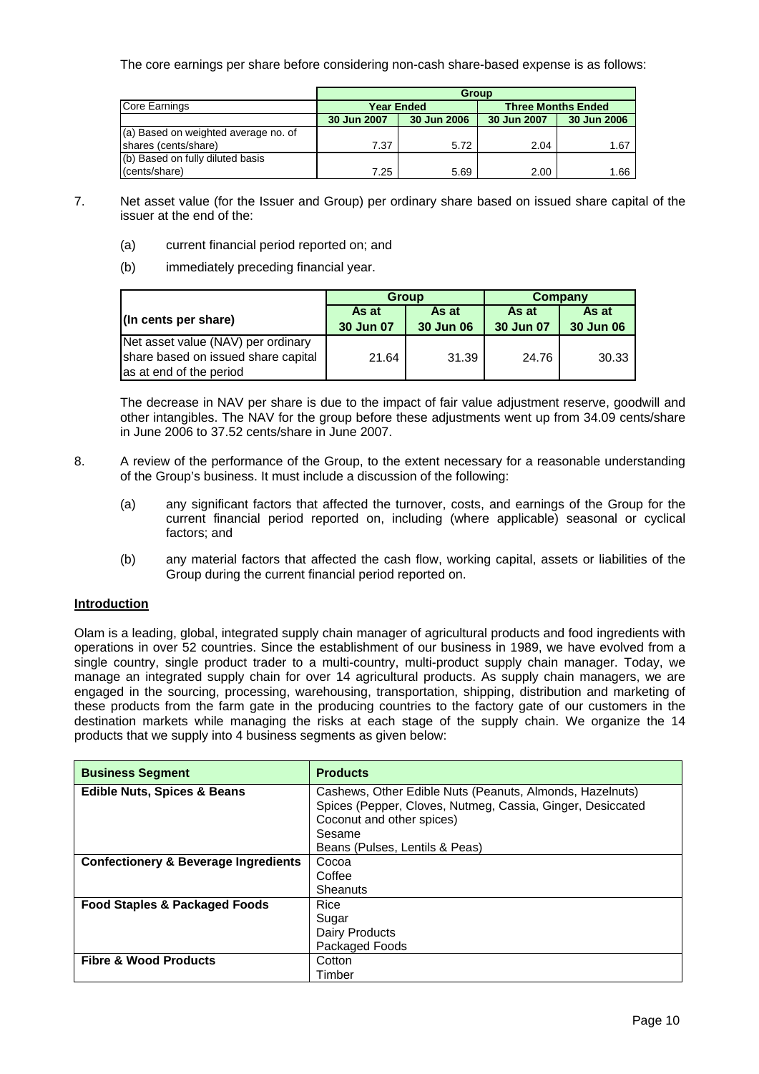The core earnings per share before considering non-cash share-based expense is as follows:

|                                      | <b>Group</b>      |             |             |             |                           |  |  |
|--------------------------------------|-------------------|-------------|-------------|-------------|---------------------------|--|--|
| Core Earnings                        | <b>Year Ended</b> |             |             |             | <b>Three Months Ended</b> |  |  |
|                                      | 30 Jun 2007       | 30 Jun 2006 | 30 Jun 2007 | 30 Jun 2006 |                           |  |  |
| (a) Based on weighted average no. of |                   |             |             |             |                           |  |  |
| shares (cents/share)                 | 7.37              | 5.72        | 2.04        | 1.67        |                           |  |  |
| (b) Based on fully diluted basis     |                   |             |             |             |                           |  |  |
| (cents/share)                        | 7.25              | 5.69        | 2.00        | 1.66        |                           |  |  |

- 7. Net asset value (for the Issuer and Group) per ordinary share based on issued share capital of the issuer at the end of the:
	- (a) current financial period reported on; and
	- (b) immediately preceding financial year.

|                                                                 |                    | <b>Group</b>       | Company            |                    |  |
|-----------------------------------------------------------------|--------------------|--------------------|--------------------|--------------------|--|
| (In cents per share)                                            | As at<br>30 Jun 07 | As at<br>30 Jun 06 | As at<br>30 Jun 07 | As at<br>30 Jun 06 |  |
| Net asset value (NAV) per ordinary                              |                    |                    |                    |                    |  |
| share based on issued share capital<br>las at end of the period | 21.64              | 31.39              | 24.76              | 30.33              |  |

The decrease in NAV per share is due to the impact of fair value adjustment reserve, goodwill and other intangibles. The NAV for the group before these adjustments went up from 34.09 cents/share in June 2006 to 37.52 cents/share in June 2007.

- 8. A review of the performance of the Group, to the extent necessary for a reasonable understanding of the Group's business. It must include a discussion of the following:
	- (a) any significant factors that affected the turnover, costs, and earnings of the Group for the current financial period reported on, including (where applicable) seasonal or cyclical factors; and
	- (b) any material factors that affected the cash flow, working capital, assets or liabilities of the Group during the current financial period reported on.

# **Introduction**

Olam is a leading, global, integrated supply chain manager of agricultural products and food ingredients with operations in over 52 countries. Since the establishment of our business in 1989, we have evolved from a single country, single product trader to a multi-country, multi-product supply chain manager. Today, we manage an integrated supply chain for over 14 agricultural products. As supply chain managers, we are engaged in the sourcing, processing, warehousing, transportation, shipping, distribution and marketing of these products from the farm gate in the producing countries to the factory gate of our customers in the destination markets while managing the risks at each stage of the supply chain. We organize the 14 products that we supply into 4 business segments as given below:

| <b>Business Segment</b>                         | <b>Products</b>                                            |
|-------------------------------------------------|------------------------------------------------------------|
| <b>Edible Nuts, Spices &amp; Beans</b>          | Cashews, Other Edible Nuts (Peanuts, Almonds, Hazelnuts)   |
|                                                 | Spices (Pepper, Cloves, Nutmeg, Cassia, Ginger, Desiccated |
|                                                 | Coconut and other spices)<br>Sesame                        |
|                                                 | Beans (Pulses, Lentils & Peas)                             |
| <b>Confectionery &amp; Beverage Ingredients</b> | Cocoa                                                      |
|                                                 | Coffee                                                     |
|                                                 | Sheanuts                                                   |
| <b>Food Staples &amp; Packaged Foods</b>        | Rice                                                       |
|                                                 | Sugar                                                      |
|                                                 | Dairy Products                                             |
|                                                 | Packaged Foods                                             |
| <b>Fibre &amp; Wood Products</b>                | Cotton                                                     |
|                                                 | Timber                                                     |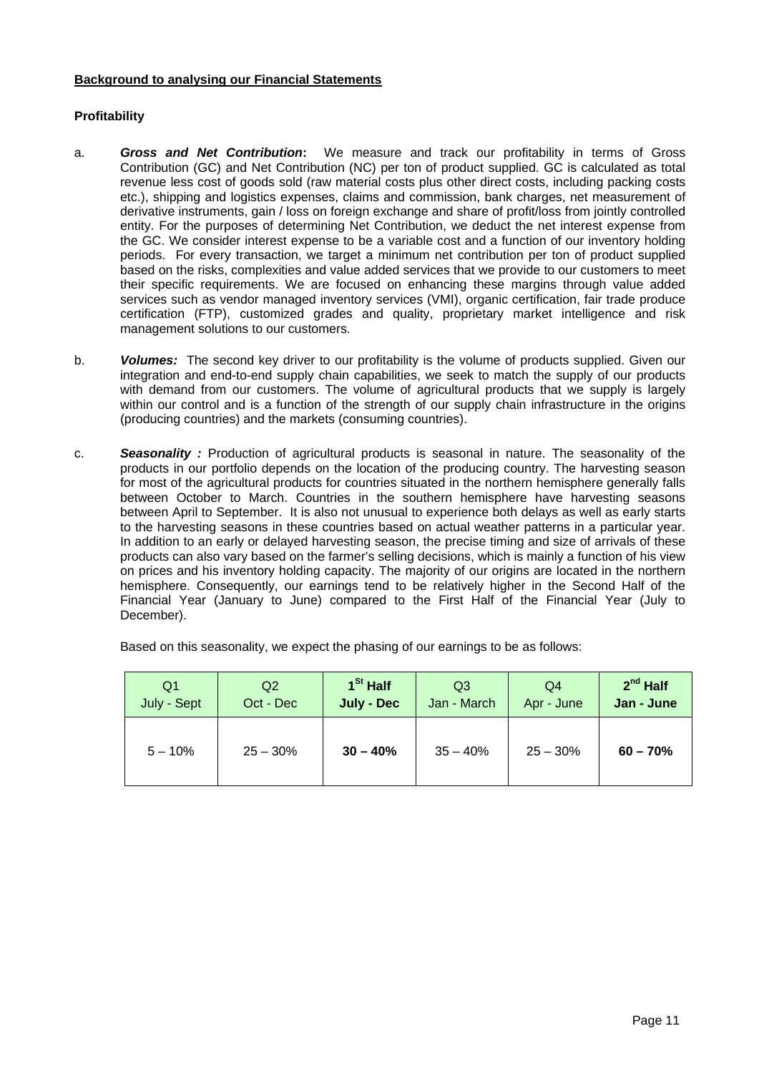# **Background to analysing our Financial Statements**

# **Profitability**

- a. *Gross and Net Contribution***:** We measure and track our profitability in terms of Gross Contribution (GC) and Net Contribution (NC) per ton of product supplied. GC is calculated as total revenue less cost of goods sold (raw material costs plus other direct costs, including packing costs etc.), shipping and logistics expenses, claims and commission, bank charges, net measurement of derivative instruments, gain / loss on foreign exchange and share of profit/loss from jointly controlled entity. For the purposes of determining Net Contribution, we deduct the net interest expense from the GC. We consider interest expense to be a variable cost and a function of our inventory holding periods. For every transaction, we target a minimum net contribution per ton of product supplied based on the risks, complexities and value added services that we provide to our customers to meet their specific requirements. We are focused on enhancing these margins through value added services such as vendor managed inventory services (VMI), organic certification, fair trade produce certification (FTP), customized grades and quality, proprietary market intelligence and risk management solutions to our customers.
- b. *Volumes:* The second key driver to our profitability is the volume of products supplied. Given our integration and end-to-end supply chain capabilities, we seek to match the supply of our products with demand from our customers. The volume of agricultural products that we supply is largely within our control and is a function of the strength of our supply chain infrastructure in the origins (producing countries) and the markets (consuming countries).
- c. *Seasonality :* Production of agricultural products is seasonal in nature. The seasonality of the products in our portfolio depends on the location of the producing country. The harvesting season for most of the agricultural products for countries situated in the northern hemisphere generally falls between October to March. Countries in the southern hemisphere have harvesting seasons between April to September. It is also not unusual to experience both delays as well as early starts to the harvesting seasons in these countries based on actual weather patterns in a particular year. In addition to an early or delayed harvesting season, the precise timing and size of arrivals of these products can also vary based on the farmer's selling decisions, which is mainly a function of his view on prices and his inventory holding capacity. The majority of our origins are located in the northern hemisphere. Consequently, our earnings tend to be relatively higher in the Second Half of the Financial Year (January to June) compared to the First Half of the Financial Year (July to December).

Based on this seasonality, we expect the phasing of our earnings to be as follows:

| Q <sub>1</sub> | Q2         | $1St$ Half | Q3          | Q4         | $2^{nd}$ Half |
|----------------|------------|------------|-------------|------------|---------------|
| July - Sept    | Oct - Dec  | July - Dec | Jan - March | Apr - June | Jan - June    |
| $5 - 10\%$     | $25 - 30%$ | $30 - 40%$ | $35 - 40%$  | $25 - 30%$ | $60 - 70%$    |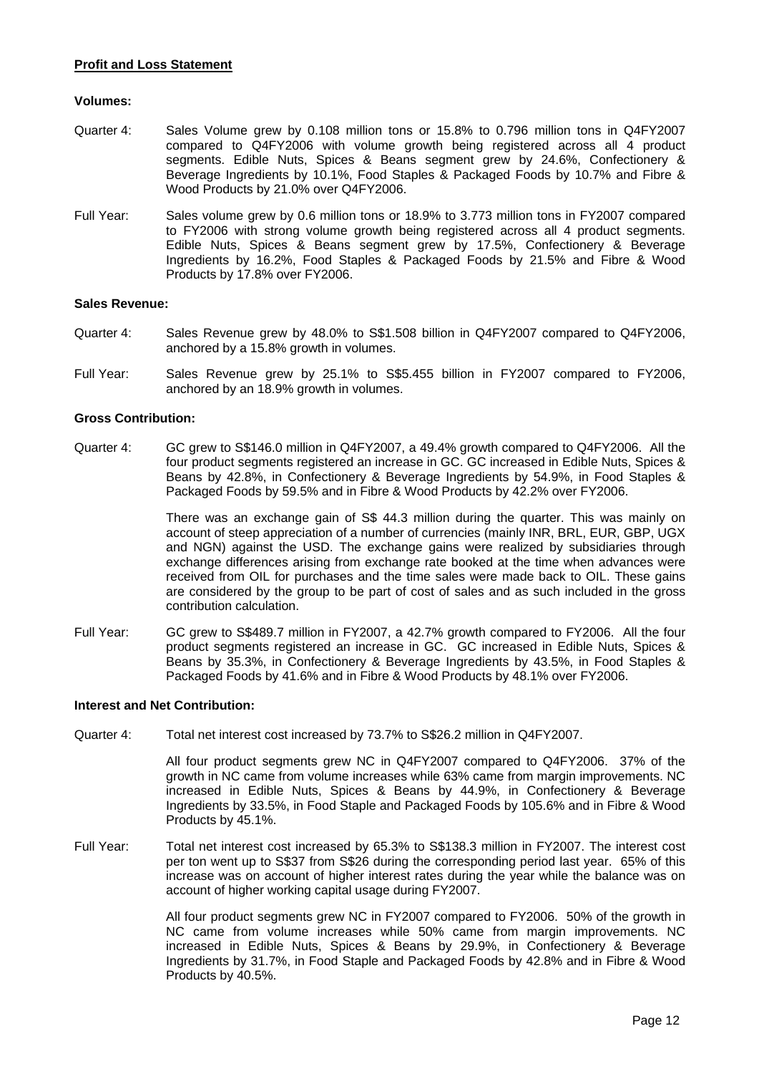### **Profit and Loss Statement**

#### **Volumes:**

- Quarter 4: Sales Volume grew by 0.108 million tons or 15.8% to 0.796 million tons in Q4FY2007 compared to Q4FY2006 with volume growth being registered across all 4 product segments. Edible Nuts, Spices & Beans segment grew by 24.6%, Confectionery & Beverage Ingredients by 10.1%, Food Staples & Packaged Foods by 10.7% and Fibre & Wood Products by 21.0% over Q4FY2006.
- Full Year: Sales volume grew by 0.6 million tons or 18.9% to 3.773 million tons in FY2007 compared to FY2006 with strong volume growth being registered across all 4 product segments. Edible Nuts, Spices & Beans segment grew by 17.5%, Confectionery & Beverage Ingredients by 16.2%, Food Staples & Packaged Foods by 21.5% and Fibre & Wood Products by 17.8% over FY2006.

### **Sales Revenue:**

- Quarter 4: Sales Revenue grew by 48.0% to S\$1.508 billion in Q4FY2007 compared to Q4FY2006, anchored by a 15.8% growth in volumes.
- Full Year: Sales Revenue grew by 25.1% to S\$5.455 billion in FY2007 compared to FY2006, anchored by an 18.9% growth in volumes.

#### **Gross Contribution:**

Quarter 4: GC grew to S\$146.0 million in Q4FY2007, a 49.4% growth compared to Q4FY2006. All the four product segments registered an increase in GC. GC increased in Edible Nuts, Spices & Beans by 42.8%, in Confectionery & Beverage Ingredients by 54.9%, in Food Staples & Packaged Foods by 59.5% and in Fibre & Wood Products by 42.2% over FY2006.

> There was an exchange gain of S\$ 44.3 million during the quarter. This was mainly on account of steep appreciation of a number of currencies (mainly INR, BRL, EUR, GBP, UGX and NGN) against the USD. The exchange gains were realized by subsidiaries through exchange differences arising from exchange rate booked at the time when advances were received from OIL for purchases and the time sales were made back to OIL. These gains are considered by the group to be part of cost of sales and as such included in the gross contribution calculation.

Full Year: GC grew to S\$489.7 million in FY2007, a 42.7% growth compared to FY2006. All the four product segments registered an increase in GC. GC increased in Edible Nuts, Spices & Beans by 35.3%, in Confectionery & Beverage Ingredients by 43.5%, in Food Staples & Packaged Foods by 41.6% and in Fibre & Wood Products by 48.1% over FY2006.

#### **Interest and Net Contribution:**

Quarter 4: Total net interest cost increased by 73.7% to S\$26.2 million in Q4FY2007.

 All four product segments grew NC in Q4FY2007 compared to Q4FY2006. 37% of the growth in NC came from volume increases while 63% came from margin improvements. NC increased in Edible Nuts, Spices & Beans by 44.9%, in Confectionery & Beverage Ingredients by 33.5%, in Food Staple and Packaged Foods by 105.6% and in Fibre & Wood Products by 45.1%.

Full Year: Total net interest cost increased by 65.3% to S\$138.3 million in FY2007. The interest cost per ton went up to S\$37 from S\$26 during the corresponding period last year. 65% of this increase was on account of higher interest rates during the year while the balance was on account of higher working capital usage during FY2007.

> All four product segments grew NC in FY2007 compared to FY2006. 50% of the growth in NC came from volume increases while 50% came from margin improvements. NC increased in Edible Nuts, Spices & Beans by 29.9%, in Confectionery & Beverage Ingredients by 31.7%, in Food Staple and Packaged Foods by 42.8% and in Fibre & Wood Products by 40.5%.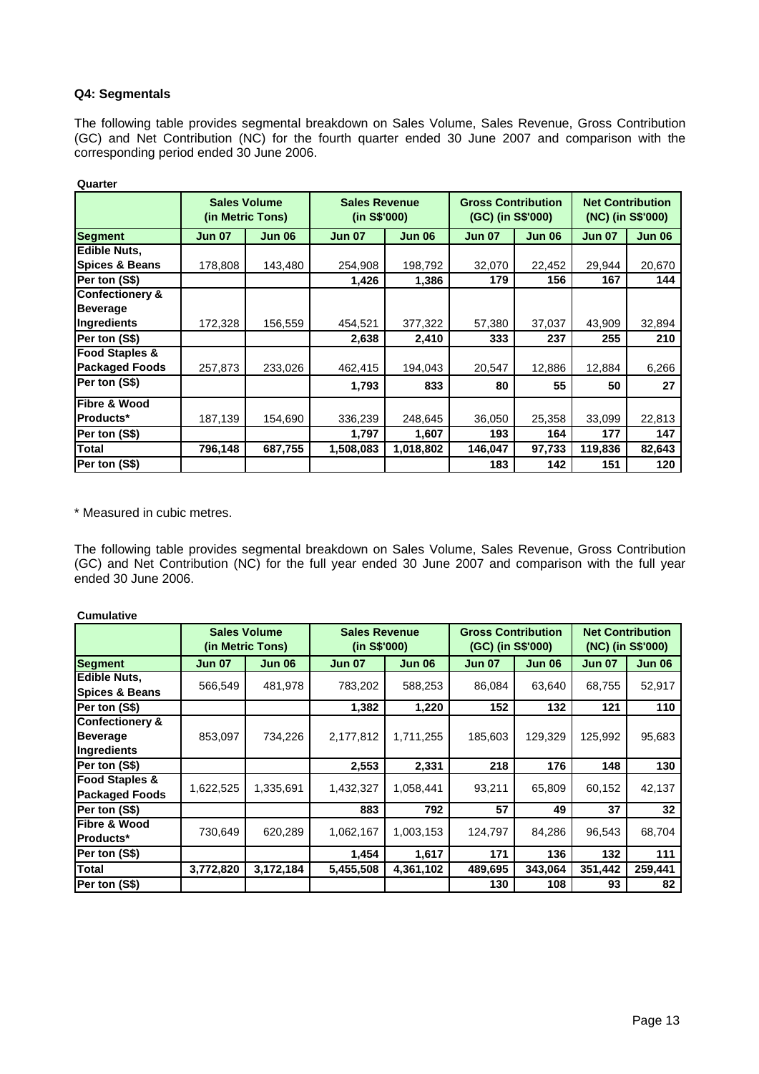### **Q4: Segmentals**

The following table provides segmental breakdown on Sales Volume, Sales Revenue, Gross Contribution (GC) and Net Contribution (NC) for the fourth quarter ended 30 June 2007 and comparison with the corresponding period ended 30 June 2006.

|                            | <b>Sales Volume</b><br>(in Metric Tons) |               | <b>Sales Revenue</b><br>(in S\$'000) |               | <b>Gross Contribution</b><br>(GC) (in S\$'000) |               |               | <b>Net Contribution</b><br>(NC) (in S\$'000) |
|----------------------------|-----------------------------------------|---------------|--------------------------------------|---------------|------------------------------------------------|---------------|---------------|----------------------------------------------|
| <b>Segment</b>             | <b>Jun 07</b>                           | <b>Jun 06</b> | <b>Jun 07</b>                        | <b>Jun 06</b> | <b>Jun 07</b>                                  | <b>Jun 06</b> | <b>Jun 07</b> | <b>Jun 06</b>                                |
| <b>Edible Nuts,</b>        |                                         |               |                                      |               |                                                |               |               |                                              |
| <b>Spices &amp; Beans</b>  | 178,808                                 | 143,480       | 254,908                              | 198,792       | 32,070                                         | 22,452        | 29,944        | 20,670                                       |
| Per ton (S\$)              |                                         |               | 1,426                                | 1,386         | 179                                            | 156           | 167           | 144                                          |
| <b>Confectionery &amp;</b> |                                         |               |                                      |               |                                                |               |               |                                              |
| <b>Beverage</b>            |                                         |               |                                      |               |                                                |               |               |                                              |
| Ingredients                | 172,328                                 | 156,559       | 454,521                              | 377,322       | 57,380                                         | 37,037        | 43,909        | 32,894                                       |
| Per ton (S\$)              |                                         |               | 2,638                                | 2,410         | 333                                            | 237           | 255           | 210                                          |
| <b>Food Staples &amp;</b>  |                                         |               |                                      |               |                                                |               |               |                                              |
| <b>Packaged Foods</b>      | 257,873                                 | 233,026       | 462,415                              | 194,043       | 20,547                                         | 12,886        | 12,884        | 6,266                                        |
| Per ton (S\$)              |                                         |               | 1,793                                | 833           | 80                                             | 55            | 50            | 27                                           |
| <b>Fibre &amp; Wood</b>    |                                         |               |                                      |               |                                                |               |               |                                              |
| Products*                  | 187,139                                 | 154,690       | 336,239                              | 248,645       | 36,050                                         | 25,358        | 33,099        | 22,813                                       |
| Per ton (S\$)              |                                         |               | 1,797                                | 1,607         | 193                                            | 164           | 177           | 147                                          |
| <b>Total</b>               | 796,148                                 | 687,755       | 1,508,083                            | 1,018,802     | 146,047                                        | 97,733        | 119,836       | 82,643                                       |
| Per ton (S\$)              |                                         |               |                                      |               | 183                                            | 142           | 151           | 120                                          |

**Quarter**

\* Measured in cubic metres.

The following table provides segmental breakdown on Sales Volume, Sales Revenue, Gross Contribution (GC) and Net Contribution (NC) for the full year ended 30 June 2007 and comparison with the full year ended 30 June 2006.

| <b>Cumulative</b>          |               |                                         |                                      |               |                                                |               |                                              |               |
|----------------------------|---------------|-----------------------------------------|--------------------------------------|---------------|------------------------------------------------|---------------|----------------------------------------------|---------------|
|                            |               | <b>Sales Volume</b><br>(in Metric Tons) | <b>Sales Revenue</b><br>(in S\$'000) |               | <b>Gross Contribution</b><br>(GC) (in S\$'000) |               | <b>Net Contribution</b><br>(NC) (in S\$'000) |               |
| <b>Segment</b>             | <b>Jun 07</b> | <b>Jun 06</b>                           | <b>Jun 07</b>                        | <b>Jun 06</b> | <b>Jun 07</b>                                  | <b>Jun 06</b> | <b>Jun 07</b>                                | <b>Jun 06</b> |
| <b>Edible Nuts.</b>        | 566,549       | 481,978                                 | 783,202                              | 588,253       | 86,084                                         | 63,640        | 68,755                                       |               |
| <b>Spices &amp; Beans</b>  |               |                                         |                                      |               |                                                |               |                                              | 52,917        |
| Per ton (S\$)              |               |                                         | 1,382                                | 1,220         | 152                                            | 132           | 121                                          | 110           |
| <b>Confectionery &amp;</b> |               |                                         |                                      |               |                                                |               |                                              |               |
| <b>Beverage</b>            | 853,097       | 734,226                                 | 2,177,812                            | 1,711,255     | 185,603                                        | 129,329       | 125,992                                      | 95,683        |
| Ingredients                |               |                                         |                                      |               |                                                |               |                                              |               |
| Per ton (S\$)              |               |                                         | 2,553                                | 2,331         | 218                                            | 176           | 148                                          | 130           |
| <b>Food Staples &amp;</b>  | 1,622,525     | 1,335,691                               | 1,432,327                            | 1,058,441     | 93,211                                         | 65,809        | 60,152                                       | 42,137        |
| <b>Packaged Foods</b>      |               |                                         |                                      |               |                                                |               |                                              |               |
| Per ton (S\$)              |               |                                         | 883                                  | 792           | 57                                             | 49            | 37                                           | 32            |
| <b>Fibre &amp; Wood</b>    | 730,649       | 620,289                                 | 1,062,167                            | 1,003,153     | 124,797                                        | 84,286        | 96,543                                       | 68,704        |
| Products*                  |               |                                         |                                      |               |                                                |               |                                              |               |
| Per ton (S\$)              |               |                                         | 1,454                                | 1,617         | 171                                            | 136           | 132                                          | 111           |
| <b>Total</b>               | 3,772,820     | 3,172,184                               | 5,455,508                            | 4,361,102     | 489,695                                        | 343,064       | 351,442                                      | 259,441       |
| Per ton (S\$)              |               |                                         |                                      |               | 130                                            | 108           | 93                                           | 82            |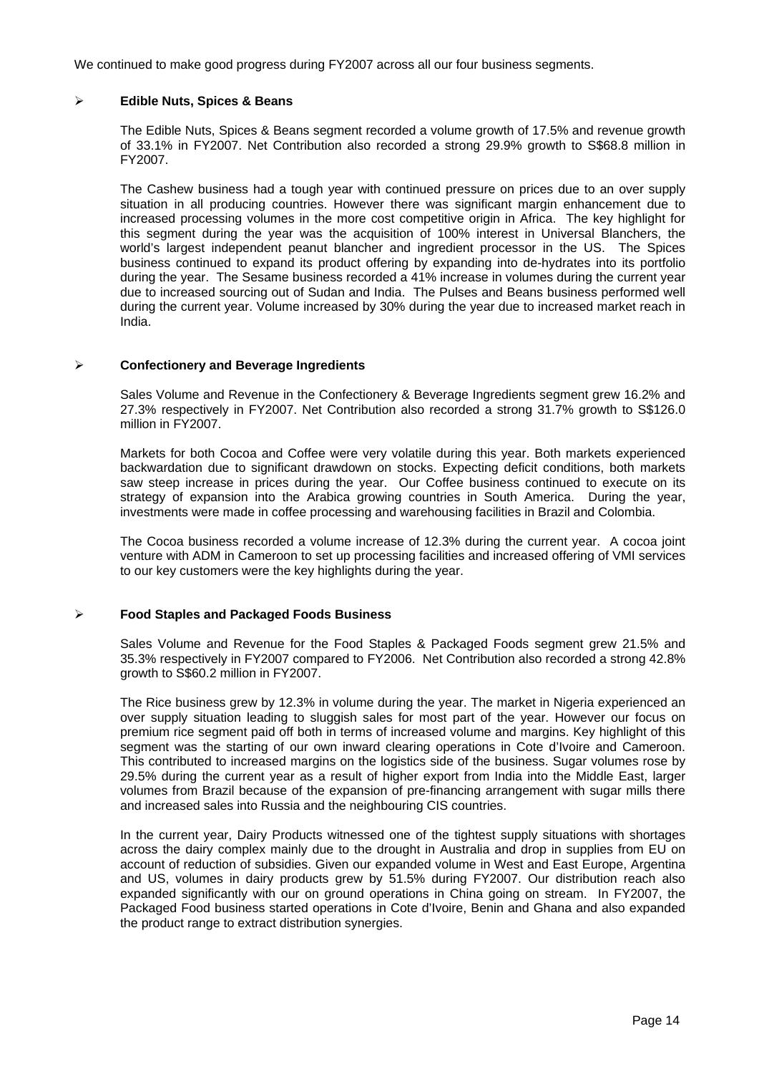We continued to make good progress during FY2007 across all our four business segments.

### ¾ **Edible Nuts, Spices & Beans**

The Edible Nuts, Spices & Beans segment recorded a volume growth of 17.5% and revenue growth of 33.1% in FY2007. Net Contribution also recorded a strong 29.9% growth to S\$68.8 million in FY2007.

The Cashew business had a tough year with continued pressure on prices due to an over supply situation in all producing countries. However there was significant margin enhancement due to increased processing volumes in the more cost competitive origin in Africa. The key highlight for this segment during the year was the acquisition of 100% interest in Universal Blanchers, the world's largest independent peanut blancher and ingredient processor in the US. The Spices business continued to expand its product offering by expanding into de-hydrates into its portfolio during the year. The Sesame business recorded a 41% increase in volumes during the current year due to increased sourcing out of Sudan and India. The Pulses and Beans business performed well during the current year. Volume increased by 30% during the year due to increased market reach in India.

### ¾ **Confectionery and Beverage Ingredients**

Sales Volume and Revenue in the Confectionery & Beverage Ingredients segment grew 16.2% and 27.3% respectively in FY2007. Net Contribution also recorded a strong 31.7% growth to S\$126.0 million in FY2007.

Markets for both Cocoa and Coffee were very volatile during this year. Both markets experienced backwardation due to significant drawdown on stocks. Expecting deficit conditions, both markets saw steep increase in prices during the year. Our Coffee business continued to execute on its strategy of expansion into the Arabica growing countries in South America. During the year, investments were made in coffee processing and warehousing facilities in Brazil and Colombia.

The Cocoa business recorded a volume increase of 12.3% during the current year. A cocoa joint venture with ADM in Cameroon to set up processing facilities and increased offering of VMI services to our key customers were the key highlights during the year.

# ¾ **Food Staples and Packaged Foods Business**

Sales Volume and Revenue for the Food Staples & Packaged Foods segment grew 21.5% and 35.3% respectively in FY2007 compared to FY2006. Net Contribution also recorded a strong 42.8% growth to S\$60.2 million in FY2007.

The Rice business grew by 12.3% in volume during the year. The market in Nigeria experienced an over supply situation leading to sluggish sales for most part of the year. However our focus on premium rice segment paid off both in terms of increased volume and margins. Key highlight of this segment was the starting of our own inward clearing operations in Cote d'Ivoire and Cameroon. This contributed to increased margins on the logistics side of the business. Sugar volumes rose by 29.5% during the current year as a result of higher export from India into the Middle East, larger volumes from Brazil because of the expansion of pre-financing arrangement with sugar mills there and increased sales into Russia and the neighbouring CIS countries.

In the current year, Dairy Products witnessed one of the tightest supply situations with shortages across the dairy complex mainly due to the drought in Australia and drop in supplies from EU on account of reduction of subsidies. Given our expanded volume in West and East Europe, Argentina and US, volumes in dairy products grew by 51.5% during FY2007. Our distribution reach also expanded significantly with our on ground operations in China going on stream. In FY2007, the Packaged Food business started operations in Cote d'Ivoire, Benin and Ghana and also expanded the product range to extract distribution synergies.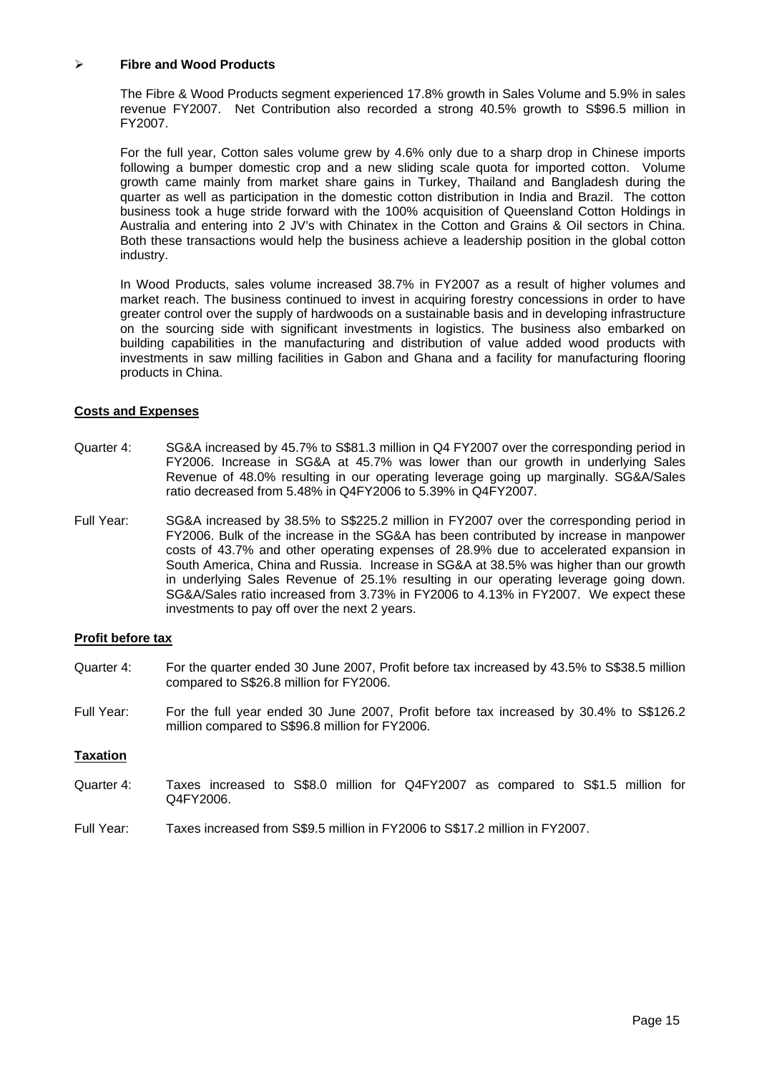#### ¾ **Fibre and Wood Products**

The Fibre & Wood Products segment experienced 17.8% growth in Sales Volume and 5.9% in sales revenue FY2007. Net Contribution also recorded a strong 40.5% growth to S\$96.5 million in FY2007.

For the full year, Cotton sales volume grew by 4.6% only due to a sharp drop in Chinese imports following a bumper domestic crop and a new sliding scale quota for imported cotton. Volume growth came mainly from market share gains in Turkey, Thailand and Bangladesh during the quarter as well as participation in the domestic cotton distribution in India and Brazil. The cotton business took a huge stride forward with the 100% acquisition of Queensland Cotton Holdings in Australia and entering into 2 JV's with Chinatex in the Cotton and Grains & Oil sectors in China. Both these transactions would help the business achieve a leadership position in the global cotton industry.

In Wood Products, sales volume increased 38.7% in FY2007 as a result of higher volumes and market reach. The business continued to invest in acquiring forestry concessions in order to have greater control over the supply of hardwoods on a sustainable basis and in developing infrastructure on the sourcing side with significant investments in logistics. The business also embarked on building capabilities in the manufacturing and distribution of value added wood products with investments in saw milling facilities in Gabon and Ghana and a facility for manufacturing flooring products in China.

# **Costs and Expenses**

- Quarter 4: SG&A increased by 45.7% to S\$81.3 million in Q4 FY2007 over the corresponding period in FY2006. Increase in SG&A at 45.7% was lower than our growth in underlying Sales Revenue of 48.0% resulting in our operating leverage going up marginally. SG&A/Sales ratio decreased from 5.48% in Q4FY2006 to 5.39% in Q4FY2007.
- Full Year: SG&A increased by 38.5% to S\$225.2 million in FY2007 over the corresponding period in FY2006. Bulk of the increase in the SG&A has been contributed by increase in manpower costs of 43.7% and other operating expenses of 28.9% due to accelerated expansion in South America, China and Russia. Increase in SG&A at 38.5% was higher than our growth in underlying Sales Revenue of 25.1% resulting in our operating leverage going down. SG&A/Sales ratio increased from 3.73% in FY2006 to 4.13% in FY2007. We expect these investments to pay off over the next 2 years.

### **Profit before tax**

- Quarter 4: For the quarter ended 30 June 2007, Profit before tax increased by 43.5% to S\$38.5 million compared to S\$26.8 million for FY2006.
- Full Year: For the full year ended 30 June 2007, Profit before tax increased by 30.4% to S\$126.2 million compared to S\$96.8 million for FY2006.

#### **Taxation**

- Quarter 4: Taxes increased to S\$8.0 million for Q4FY2007 as compared to S\$1.5 million for Q4FY2006.
- Full Year: Taxes increased from S\$9.5 million in FY2006 to S\$17.2 million in FY2007.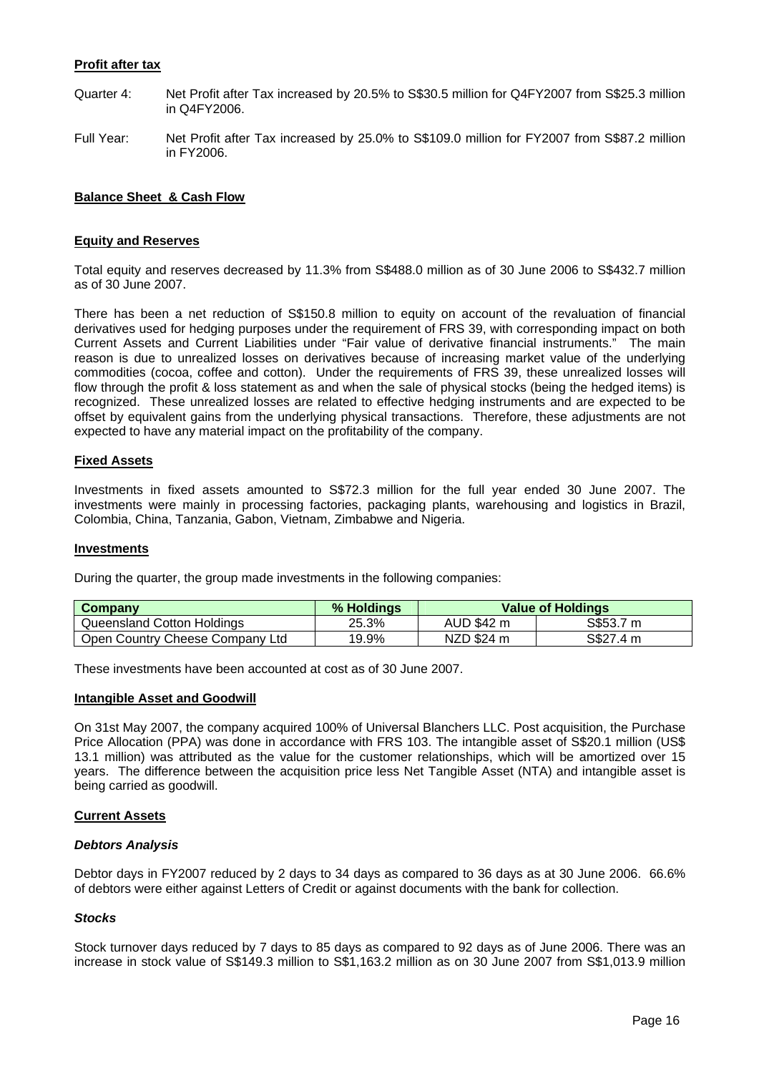# **Profit after tax**

- Quarter 4: Net Profit after Tax increased by 20.5% to S\$30.5 million for Q4FY2007 from S\$25.3 million in Q4FY2006.
- Full Year: Net Profit after Tax increased by 25.0% to S\$109.0 million for FY2007 from S\$87.2 million in FY2006.

# **Balance Sheet & Cash Flow**

### **Equity and Reserves**

Total equity and reserves decreased by 11.3% from S\$488.0 million as of 30 June 2006 to S\$432.7 million as of 30 June 2007.

There has been a net reduction of S\$150.8 million to equity on account of the revaluation of financial derivatives used for hedging purposes under the requirement of FRS 39, with corresponding impact on both Current Assets and Current Liabilities under "Fair value of derivative financial instruments." The main reason is due to unrealized losses on derivatives because of increasing market value of the underlying commodities (cocoa, coffee and cotton). Under the requirements of FRS 39, these unrealized losses will flow through the profit & loss statement as and when the sale of physical stocks (being the hedged items) is recognized. These unrealized losses are related to effective hedging instruments and are expected to be offset by equivalent gains from the underlying physical transactions. Therefore, these adjustments are not expected to have any material impact on the profitability of the company.

### **Fixed Assets**

Investments in fixed assets amounted to S\$72.3 million for the full year ended 30 June 2007. The investments were mainly in processing factories, packaging plants, warehousing and logistics in Brazil, Colombia, China, Tanzania, Gabon, Vietnam, Zimbabwe and Nigeria.

#### **Investments**

During the quarter, the group made investments in the following companies:

| <b>Company</b>                  | % Holdings | <b>Value of Holdings</b> |           |  |
|---------------------------------|------------|--------------------------|-----------|--|
| Queensland Cotton Holdings      | 25.3%      | AUD \$42 m               | S\$53.7 m |  |
| Open Country Cheese Company Ltd | 19.9%      | NZD \$24 m               | S\$27.4 m |  |

These investments have been accounted at cost as of 30 June 2007.

#### **Intangible Asset and Goodwill**

On 31st May 2007, the company acquired 100% of Universal Blanchers LLC. Post acquisition, the Purchase Price Allocation (PPA) was done in accordance with FRS 103. The intangible asset of S\$20.1 million (US\$ 13.1 million) was attributed as the value for the customer relationships, which will be amortized over 15 years. The difference between the acquisition price less Net Tangible Asset (NTA) and intangible asset is being carried as goodwill.

#### **Current Assets**

#### *Debtors Analysis*

Debtor days in FY2007 reduced by 2 days to 34 days as compared to 36 days as at 30 June 2006. 66.6% of debtors were either against Letters of Credit or against documents with the bank for collection.

#### *Stocks*

Stock turnover days reduced by 7 days to 85 days as compared to 92 days as of June 2006. There was an increase in stock value of S\$149.3 million to S\$1,163.2 million as on 30 June 2007 from S\$1,013.9 million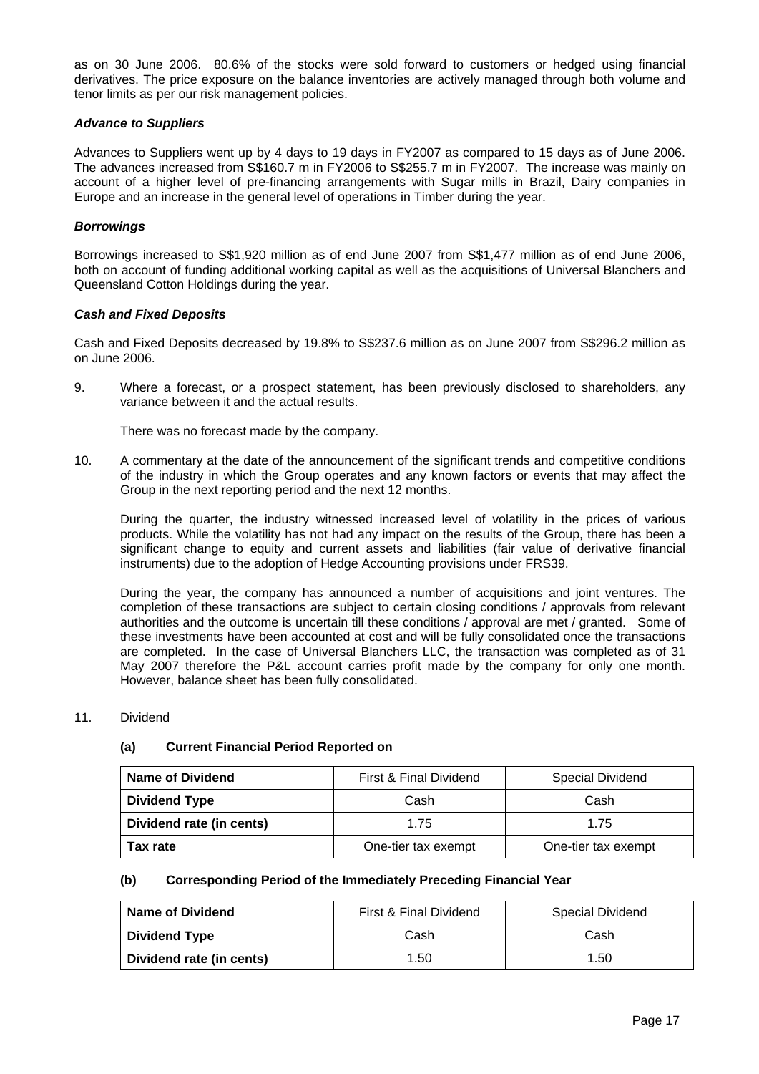as on 30 June 2006. 80.6% of the stocks were sold forward to customers or hedged using financial derivatives. The price exposure on the balance inventories are actively managed through both volume and tenor limits as per our risk management policies.

### *Advance to Suppliers*

Advances to Suppliers went up by 4 days to 19 days in FY2007 as compared to 15 days as of June 2006. The advances increased from S\$160.7 m in FY2006 to S\$255.7 m in FY2007. The increase was mainly on account of a higher level of pre-financing arrangements with Sugar mills in Brazil, Dairy companies in Europe and an increase in the general level of operations in Timber during the year.

### *Borrowings*

Borrowings increased to S\$1,920 million as of end June 2007 from S\$1,477 million as of end June 2006, both on account of funding additional working capital as well as the acquisitions of Universal Blanchers and Queensland Cotton Holdings during the year.

### *Cash and Fixed Deposits*

Cash and Fixed Deposits decreased by 19.8% to S\$237.6 million as on June 2007 from S\$296.2 million as on June 2006.

9. Where a forecast, or a prospect statement, has been previously disclosed to shareholders, any variance between it and the actual results.

There was no forecast made by the company.

10. A commentary at the date of the announcement of the significant trends and competitive conditions of the industry in which the Group operates and any known factors or events that may affect the Group in the next reporting period and the next 12 months.

During the quarter, the industry witnessed increased level of volatility in the prices of various products. While the volatility has not had any impact on the results of the Group, there has been a significant change to equity and current assets and liabilities (fair value of derivative financial instruments) due to the adoption of Hedge Accounting provisions under FRS39.

During the year, the company has announced a number of acquisitions and joint ventures. The completion of these transactions are subject to certain closing conditions / approvals from relevant authorities and the outcome is uncertain till these conditions / approval are met / granted. Some of these investments have been accounted at cost and will be fully consolidated once the transactions are completed. In the case of Universal Blanchers LLC, the transaction was completed as of 31 May 2007 therefore the P&L account carries profit made by the company for only one month. However, balance sheet has been fully consolidated.

#### 11 Dividend

# **(a) Current Financial Period Reported on**

| <b>Name of Dividend</b>  | First & Final Dividend<br><b>Special Dividend</b> |      |  |
|--------------------------|---------------------------------------------------|------|--|
| <b>Dividend Type</b>     | Cash                                              | Cash |  |
| Dividend rate (in cents) | 1.75                                              | 1.75 |  |
| Tax rate                 | One-tier tax exempt<br>One-tier tax exempt        |      |  |

#### **(b) Corresponding Period of the Immediately Preceding Financial Year**

| Name of Dividend         | First & Final Dividend | <b>Special Dividend</b> |
|--------------------------|------------------------|-------------------------|
| <b>Dividend Type</b>     | Cash                   | Cash                    |
| Dividend rate (in cents) | 1.50                   | 1.50                    |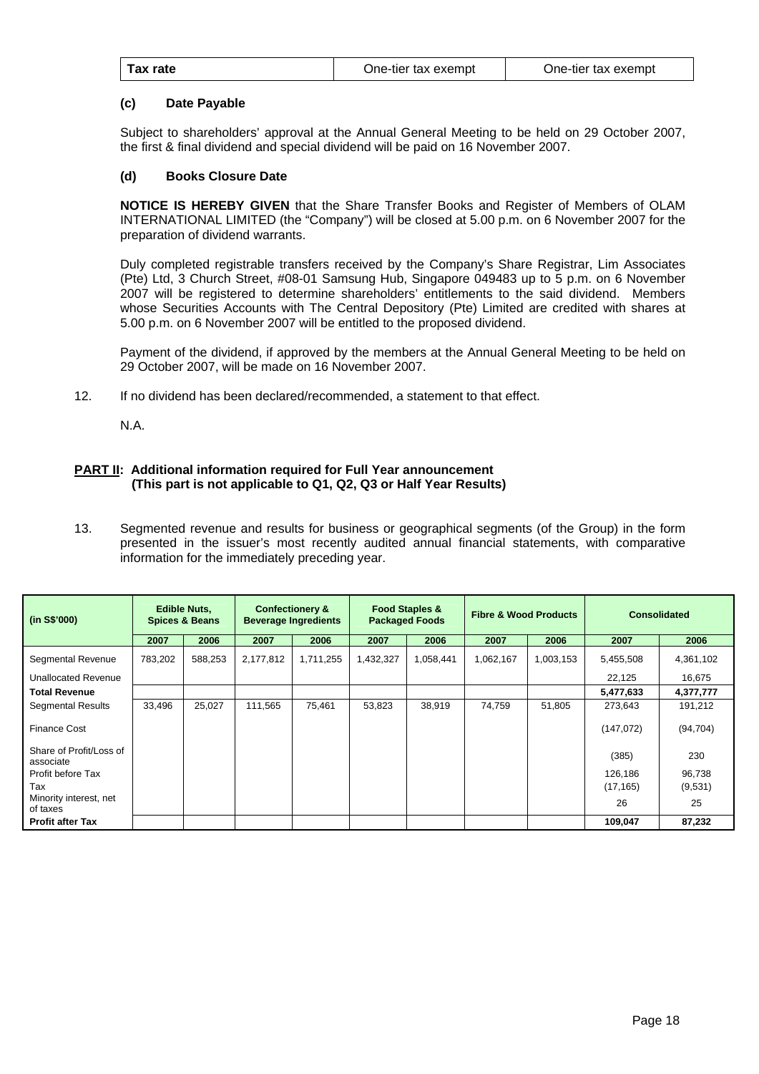| One-tier tax exempt |
|---------------------|
| One-tier tax exempt |

### **(c) Date Payable**

 Subject to shareholders' approval at the Annual General Meeting to be held on 29 October 2007, the first & final dividend and special dividend will be paid on 16 November 2007.

#### **(d) Books Closure Date**

**NOTICE IS HEREBY GIVEN** that the Share Transfer Books and Register of Members of OLAM INTERNATIONAL LIMITED (the "Company") will be closed at 5.00 p.m. on 6 November 2007 for the preparation of dividend warrants.

 Duly completed registrable transfers received by the Company's Share Registrar, Lim Associates (Pte) Ltd, 3 Church Street, #08-01 Samsung Hub, Singapore 049483 up to 5 p.m. on 6 November 2007 will be registered to determine shareholders' entitlements to the said dividend. Members whose Securities Accounts with The Central Depository (Pte) Limited are credited with shares at 5.00 p.m. on 6 November 2007 will be entitled to the proposed dividend.

 Payment of the dividend, if approved by the members at the Annual General Meeting to be held on 29 October 2007, will be made on 16 November 2007.

12. If no dividend has been declared/recommended, a statement to that effect.

N.A.

### **PART II: Additional information required for Full Year announcement (This part is not applicable to Q1, Q2, Q3 or Half Year Results)**

13. Segmented revenue and results for business or geographical segments (of the Group) in the form presented in the issuer's most recently audited annual financial statements, with comparative information for the immediately preceding year.

| (in S\$'000)                         |         | <b>Edible Nuts,</b><br><b>Spices &amp; Beans</b> |           | <b>Confectionery &amp;</b><br><b>Beverage Ingredients</b> |           | <b>Food Staples &amp;</b><br><b>Packaged Foods</b> | <b>Fibre &amp; Wood Products</b> |           |            | <b>Consolidated</b> |
|--------------------------------------|---------|--------------------------------------------------|-----------|-----------------------------------------------------------|-----------|----------------------------------------------------|----------------------------------|-----------|------------|---------------------|
|                                      | 2007    | 2006                                             | 2007      | 2006                                                      | 2007      | 2006                                               | 2007                             | 2006      | 2007       | 2006                |
| Segmental Revenue                    | 783,202 | 588,253                                          | 2,177,812 | 1,711,255                                                 | 1,432,327 | 1,058,441                                          | 1,062,167                        | 1,003,153 | 5,455,508  | 4,361,102           |
| <b>Unallocated Revenue</b>           |         |                                                  |           |                                                           |           |                                                    |                                  |           | 22,125     | 16,675              |
| <b>Total Revenue</b>                 |         |                                                  |           |                                                           |           |                                                    |                                  |           | 5,477,633  | 4,377,777           |
| <b>Segmental Results</b>             | 33,496  | 25,027                                           | 111,565   | 75,461                                                    | 53,823    | 38,919                                             | 74,759                           | 51,805    | 273,643    | 191,212             |
| <b>Finance Cost</b>                  |         |                                                  |           |                                                           |           |                                                    |                                  |           | (147, 072) | (94, 704)           |
| Share of Profit/Loss of<br>associate |         |                                                  |           |                                                           |           |                                                    |                                  |           | (385)      | 230                 |
| Profit before Tax                    |         |                                                  |           |                                                           |           |                                                    |                                  |           | 126.186    | 96,738              |
| Tax                                  |         |                                                  |           |                                                           |           |                                                    |                                  |           | (17, 165)  | (9,531)             |
| Minority interest, net<br>of taxes   |         |                                                  |           |                                                           |           |                                                    |                                  |           | 26         | 25                  |
| <b>Profit after Tax</b>              |         |                                                  |           |                                                           |           |                                                    |                                  |           | 109.047    | 87,232              |